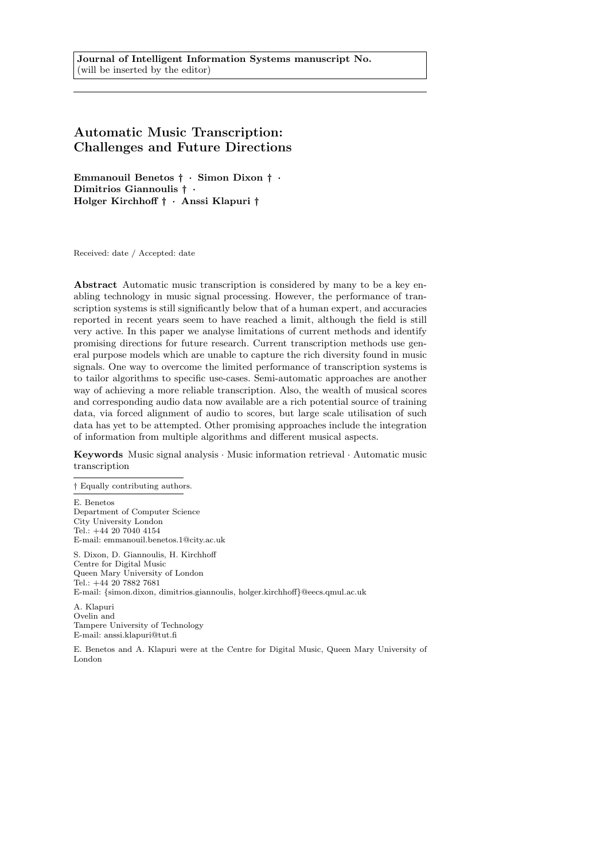# Automatic Music Transcription: Challenges and Future Directions

Emmanouil Benetos † · Simon Dixon † · Dimitrios Giannoulis † · Holger Kirchhoff † · Anssi Klapuri †

Received: date / Accepted: date

Abstract Automatic music transcription is considered by many to be a key enabling technology in music signal processing. However, the performance of transcription systems is still significantly below that of a human expert, and accuracies reported in recent years seem to have reached a limit, although the field is still very active. In this paper we analyse limitations of current methods and identify promising directions for future research. Current transcription methods use general purpose models which are unable to capture the rich diversity found in music signals. One way to overcome the limited performance of transcription systems is to tailor algorithms to specific use-cases. Semi-automatic approaches are another way of achieving a more reliable transcription. Also, the wealth of musical scores and corresponding audio data now available are a rich potential source of training data, via forced alignment of audio to scores, but large scale utilisation of such data has yet to be attempted. Other promising approaches include the integration of information from multiple algorithms and different musical aspects.

Keywords Music signal analysis · Music information retrieval · Automatic music transcription

† Equally contributing authors.

E. Benetos Department of Computer Science City University London Tel.: +44 20 7040 4154 E-mail: emmanouil.benetos.1@city.ac.uk

S. Dixon, D. Giannoulis, H. Kirchhoff Centre for Digital Music Queen Mary University of London Tel.: +44 20 7882 7681 E-mail: {simon.dixon, dimitrios.giannoulis, holger.kirchhoff}@eecs.qmul.ac.uk

A. Klapuri Ovelin and Tampere University of Technology E-mail: anssi.klapuri@tut.fi

E. Benetos and A. Klapuri were at the Centre for Digital Music, Queen Mary University of London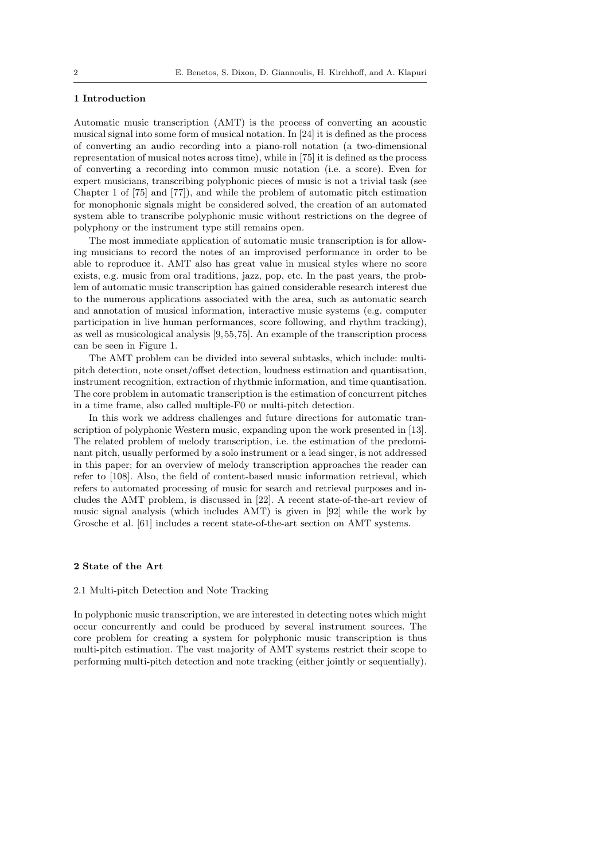## 1 Introduction

Automatic music transcription (AMT) is the process of converting an acoustic musical signal into some form of musical notation. In [24] it is defined as the process of converting an audio recording into a piano-roll notation (a two-dimensional representation of musical notes across time), while in [75] it is defined as the process of converting a recording into common music notation (i.e. a score). Even for expert musicians, transcribing polyphonic pieces of music is not a trivial task (see Chapter 1 of [75] and [77]), and while the problem of automatic pitch estimation for monophonic signals might be considered solved, the creation of an automated system able to transcribe polyphonic music without restrictions on the degree of polyphony or the instrument type still remains open.

The most immediate application of automatic music transcription is for allowing musicians to record the notes of an improvised performance in order to be able to reproduce it. AMT also has great value in musical styles where no score exists, e.g. music from oral traditions, jazz, pop, etc. In the past years, the problem of automatic music transcription has gained considerable research interest due to the numerous applications associated with the area, such as automatic search and annotation of musical information, interactive music systems (e.g. computer participation in live human performances, score following, and rhythm tracking), as well as musicological analysis [9,55,75]. An example of the transcription process can be seen in Figure 1.

The AMT problem can be divided into several subtasks, which include: multipitch detection, note onset/offset detection, loudness estimation and quantisation, instrument recognition, extraction of rhythmic information, and time quantisation. The core problem in automatic transcription is the estimation of concurrent pitches in a time frame, also called multiple-F0 or multi-pitch detection.

In this work we address challenges and future directions for automatic transcription of polyphonic Western music, expanding upon the work presented in [13]. The related problem of melody transcription, i.e. the estimation of the predominant pitch, usually performed by a solo instrument or a lead singer, is not addressed in this paper; for an overview of melody transcription approaches the reader can refer to [108]. Also, the field of content-based music information retrieval, which refers to automated processing of music for search and retrieval purposes and includes the AMT problem, is discussed in [22]. A recent state-of-the-art review of music signal analysis (which includes AMT) is given in [92] while the work by Grosche et al. [61] includes a recent state-of-the-art section on AMT systems.

## 2 State of the Art

# 2.1 Multi-pitch Detection and Note Tracking

In polyphonic music transcription, we are interested in detecting notes which might occur concurrently and could be produced by several instrument sources. The core problem for creating a system for polyphonic music transcription is thus multi-pitch estimation. The vast majority of AMT systems restrict their scope to performing multi-pitch detection and note tracking (either jointly or sequentially).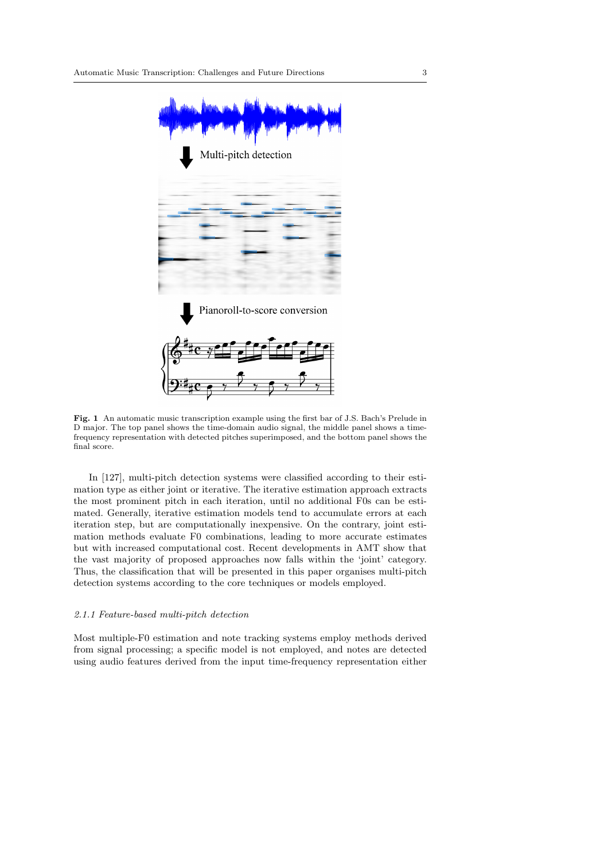

Fig. 1 An automatic music transcription example using the first bar of J.S. Bach's Prelude in D major. The top panel shows the time-domain audio signal, the middle panel shows a timefrequency representation with detected pitches superimposed, and the bottom panel shows the final score.

In [127], multi-pitch detection systems were classified according to their estimation type as either joint or iterative. The iterative estimation approach extracts the most prominent pitch in each iteration, until no additional F0s can be estimated. Generally, iterative estimation models tend to accumulate errors at each iteration step, but are computationally inexpensive. On the contrary, joint estimation methods evaluate F0 combinations, leading to more accurate estimates but with increased computational cost. Recent developments in AMT show that the vast majority of proposed approaches now falls within the 'joint' category. Thus, the classification that will be presented in this paper organises multi-pitch detection systems according to the core techniques or models employed.

## 2.1.1 Feature-based multi-pitch detection

Most multiple-F0 estimation and note tracking systems employ methods derived from signal processing; a specific model is not employed, and notes are detected using audio features derived from the input time-frequency representation either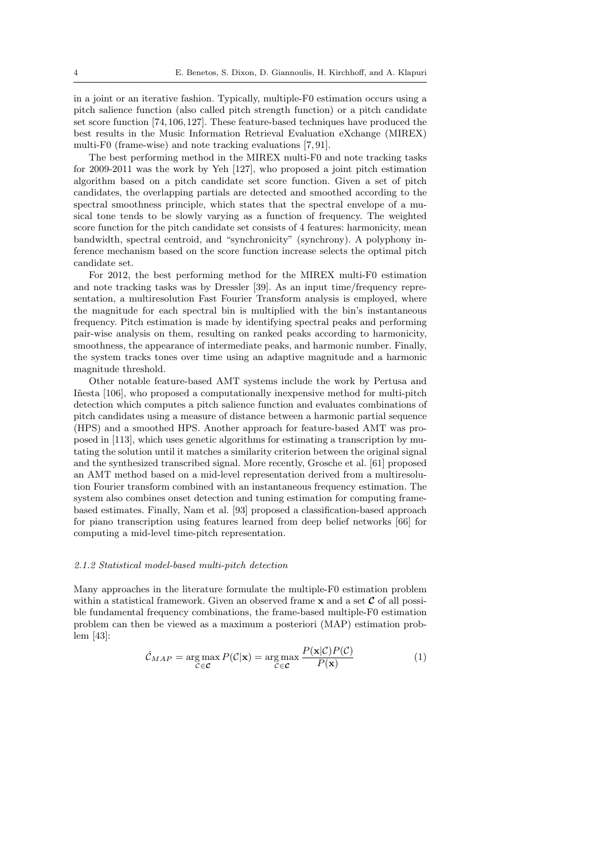in a joint or an iterative fashion. Typically, multiple-F0 estimation occurs using a pitch salience function (also called pitch strength function) or a pitch candidate set score function [74,106,127]. These feature-based techniques have produced the best results in the Music Information Retrieval Evaluation eXchange (MIREX) multi-F0 (frame-wise) and note tracking evaluations [7, 91].

The best performing method in the MIREX multi-F0 and note tracking tasks for 2009-2011 was the work by Yeh [127], who proposed a joint pitch estimation algorithm based on a pitch candidate set score function. Given a set of pitch candidates, the overlapping partials are detected and smoothed according to the spectral smoothness principle, which states that the spectral envelope of a musical tone tends to be slowly varying as a function of frequency. The weighted score function for the pitch candidate set consists of 4 features: harmonicity, mean bandwidth, spectral centroid, and "synchronicity" (synchrony). A polyphony inference mechanism based on the score function increase selects the optimal pitch candidate set.

For 2012, the best performing method for the MIREX multi-F0 estimation and note tracking tasks was by Dressler [39]. As an input time/frequency representation, a multiresolution Fast Fourier Transform analysis is employed, where the magnitude for each spectral bin is multiplied with the bin's instantaneous frequency. Pitch estimation is made by identifying spectral peaks and performing pair-wise analysis on them, resulting on ranked peaks according to harmonicity, smoothness, the appearance of intermediate peaks, and harmonic number. Finally, the system tracks tones over time using an adaptive magnitude and a harmonic magnitude threshold.

Other notable feature-based AMT systems include the work by Pertusa and Iñesta [106], who proposed a computationally inexpensive method for multi-pitch detection which computes a pitch salience function and evaluates combinations of pitch candidates using a measure of distance between a harmonic partial sequence (HPS) and a smoothed HPS. Another approach for feature-based AMT was proposed in [113], which uses genetic algorithms for estimating a transcription by mutating the solution until it matches a similarity criterion between the original signal and the synthesized transcribed signal. More recently, Grosche et al. [61] proposed an AMT method based on a mid-level representation derived from a multiresolution Fourier transform combined with an instantaneous frequency estimation. The system also combines onset detection and tuning estimation for computing framebased estimates. Finally, Nam et al. [93] proposed a classification-based approach for piano transcription using features learned from deep belief networks [66] for computing a mid-level time-pitch representation.

## 2.1.2 Statistical model-based multi-pitch detection

Many approaches in the literature formulate the multiple-F0 estimation problem within a statistical framework. Given an observed frame  $x$  and a set  $C$  of all possible fundamental frequency combinations, the frame-based multiple-F0 estimation problem can then be viewed as a maximum a posteriori (MAP) estimation problem [43]:

$$
\hat{\mathcal{C}}_{MAP} = \underset{\mathcal{C} \in \mathcal{C}}{\arg \max} P(\mathcal{C}|\mathbf{x}) = \underset{\mathcal{C} \in \mathcal{C}}{\arg \max} \frac{P(\mathbf{x}|\mathcal{C})P(\mathcal{C})}{P(\mathbf{x})}
$$
(1)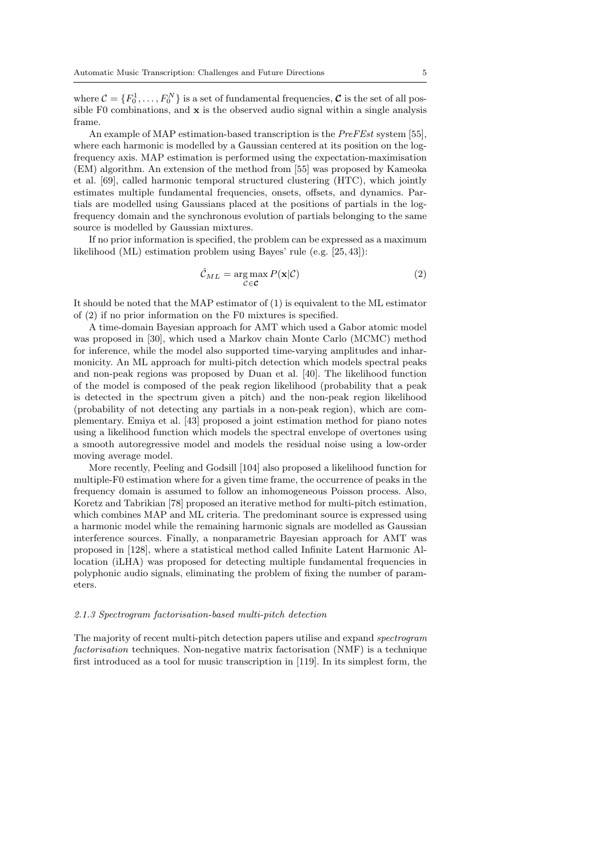where  $\mathcal{C} = \{F_0^1, \ldots, F_0^N\}$  is a set of fundamental frequencies,  $\mathcal{C}$  is the set of all possible F0 combinations, and x is the observed audio signal within a single analysis frame.

An example of MAP estimation-based transcription is the PreFEst system [55], where each harmonic is modelled by a Gaussian centered at its position on the logfrequency axis. MAP estimation is performed using the expectation-maximisation (EM) algorithm. An extension of the method from [55] was proposed by Kameoka et al. [69], called harmonic temporal structured clustering (HTC), which jointly estimates multiple fundamental frequencies, onsets, offsets, and dynamics. Partials are modelled using Gaussians placed at the positions of partials in the logfrequency domain and the synchronous evolution of partials belonging to the same source is modelled by Gaussian mixtures.

If no prior information is specified, the problem can be expressed as a maximum likelihood (ML) estimation problem using Bayes' rule (e.g. [25, 43]):

$$
\hat{\mathcal{C}}_{ML} = \underset{\mathcal{C} \in \mathcal{C}}{\arg \max} P(\mathbf{x}|\mathcal{C}) \tag{2}
$$

It should be noted that the MAP estimator of (1) is equivalent to the ML estimator of (2) if no prior information on the F0 mixtures is specified.

A time-domain Bayesian approach for AMT which used a Gabor atomic model was proposed in [30], which used a Markov chain Monte Carlo (MCMC) method for inference, while the model also supported time-varying amplitudes and inharmonicity. An ML approach for multi-pitch detection which models spectral peaks and non-peak regions was proposed by Duan et al. [40]. The likelihood function of the model is composed of the peak region likelihood (probability that a peak is detected in the spectrum given a pitch) and the non-peak region likelihood (probability of not detecting any partials in a non-peak region), which are complementary. Emiya et al. [43] proposed a joint estimation method for piano notes using a likelihood function which models the spectral envelope of overtones using a smooth autoregressive model and models the residual noise using a low-order moving average model.

More recently, Peeling and Godsill [104] also proposed a likelihood function for multiple-F0 estimation where for a given time frame, the occurrence of peaks in the frequency domain is assumed to follow an inhomogeneous Poisson process. Also, Koretz and Tabrikian [78] proposed an iterative method for multi-pitch estimation, which combines MAP and ML criteria. The predominant source is expressed using a harmonic model while the remaining harmonic signals are modelled as Gaussian interference sources. Finally, a nonparametric Bayesian approach for AMT was proposed in [128], where a statistical method called Infinite Latent Harmonic Allocation (iLHA) was proposed for detecting multiple fundamental frequencies in polyphonic audio signals, eliminating the problem of fixing the number of parameters.

#### 2.1.3 Spectrogram factorisation-based multi-pitch detection

The majority of recent multi-pitch detection papers utilise and expand spectrogram factorisation techniques. Non-negative matrix factorisation (NMF) is a technique first introduced as a tool for music transcription in [119]. In its simplest form, the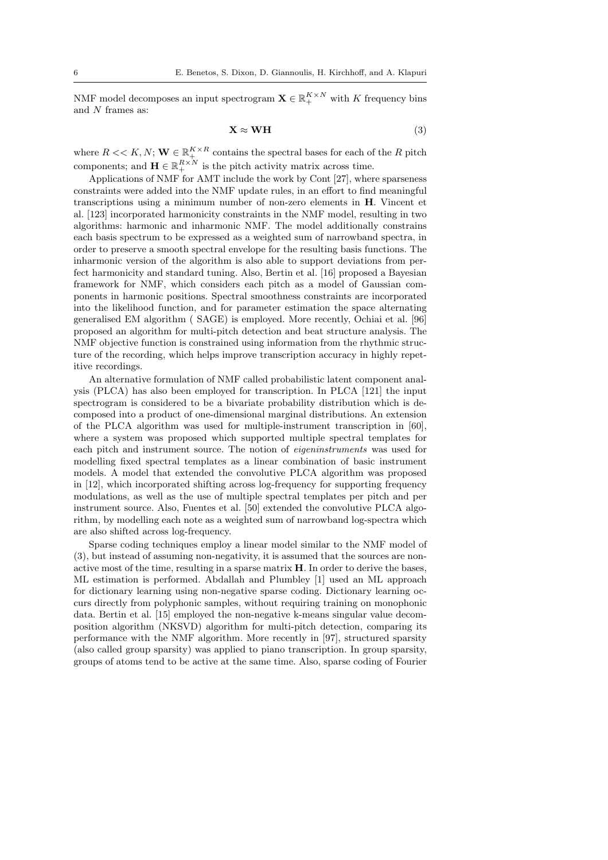NMF model decomposes an input spectrogram  $\mathbf{X} \in \mathbb{R}_+^{K \times N}$  with K frequency bins and N frames as:

$$
X \approx WH
$$
 (3)

where  $R \ll K, N$ ;  $\mathbf{W} \in \mathbb{R}_+^{K \times R}$  contains the spectral bases for each of the R pitch components; and  $\mathbf{H} \in \mathbb{R}_+^{R \times N}$  is the pitch activity matrix across time.

Applications of NMF for AMT include the work by Cont [27], where sparseness constraints were added into the NMF update rules, in an effort to find meaningful transcriptions using a minimum number of non-zero elements in H. Vincent et al. [123] incorporated harmonicity constraints in the NMF model, resulting in two algorithms: harmonic and inharmonic NMF. The model additionally constrains each basis spectrum to be expressed as a weighted sum of narrowband spectra, in order to preserve a smooth spectral envelope for the resulting basis functions. The inharmonic version of the algorithm is also able to support deviations from perfect harmonicity and standard tuning. Also, Bertin et al. [16] proposed a Bayesian framework for NMF, which considers each pitch as a model of Gaussian components in harmonic positions. Spectral smoothness constraints are incorporated into the likelihood function, and for parameter estimation the space alternating generalised EM algorithm ( SAGE) is employed. More recently, Ochiai et al. [96] proposed an algorithm for multi-pitch detection and beat structure analysis. The NMF objective function is constrained using information from the rhythmic structure of the recording, which helps improve transcription accuracy in highly repetitive recordings.

An alternative formulation of NMF called probabilistic latent component analysis (PLCA) has also been employed for transcription. In PLCA [121] the input spectrogram is considered to be a bivariate probability distribution which is decomposed into a product of one-dimensional marginal distributions. An extension of the PLCA algorithm was used for multiple-instrument transcription in [60], where a system was proposed which supported multiple spectral templates for each pitch and instrument source. The notion of eigeninstruments was used for modelling fixed spectral templates as a linear combination of basic instrument models. A model that extended the convolutive PLCA algorithm was proposed in [12], which incorporated shifting across log-frequency for supporting frequency modulations, as well as the use of multiple spectral templates per pitch and per instrument source. Also, Fuentes et al. [50] extended the convolutive PLCA algorithm, by modelling each note as a weighted sum of narrowband log-spectra which are also shifted across log-frequency.

Sparse coding techniques employ a linear model similar to the NMF model of (3), but instead of assuming non-negativity, it is assumed that the sources are nonactive most of the time, resulting in a sparse matrix  $H$ . In order to derive the bases, ML estimation is performed. Abdallah and Plumbley [1] used an ML approach for dictionary learning using non-negative sparse coding. Dictionary learning occurs directly from polyphonic samples, without requiring training on monophonic data. Bertin et al. [15] employed the non-negative k-means singular value decomposition algorithm (NKSVD) algorithm for multi-pitch detection, comparing its performance with the NMF algorithm. More recently in [97], structured sparsity (also called group sparsity) was applied to piano transcription. In group sparsity, groups of atoms tend to be active at the same time. Also, sparse coding of Fourier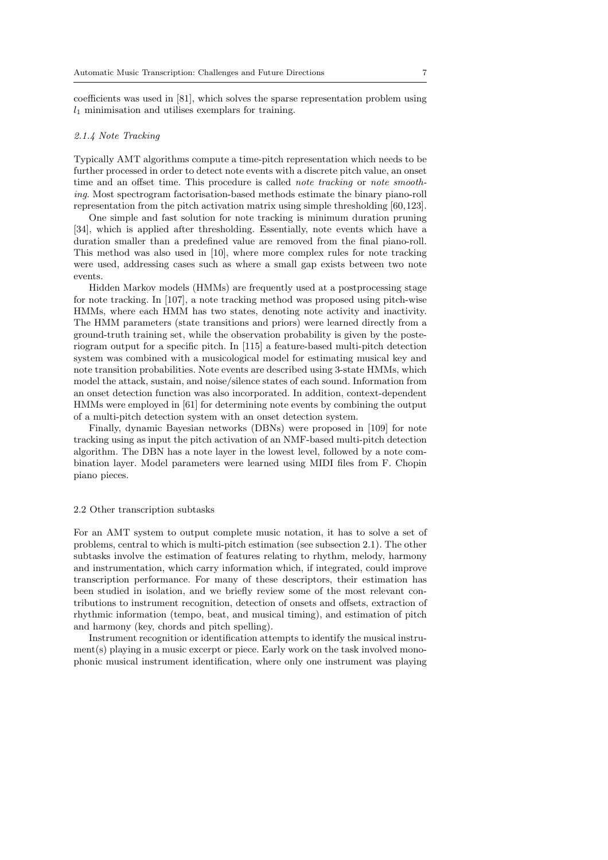coefficients was used in [81], which solves the sparse representation problem using  $l_1$  minimisation and utilises exemplars for training.

#### 2.1.4 Note Tracking

Typically AMT algorithms compute a time-pitch representation which needs to be further processed in order to detect note events with a discrete pitch value, an onset time and an offset time. This procedure is called note tracking or note smoothing. Most spectrogram factorisation-based methods estimate the binary piano-roll representation from the pitch activation matrix using simple thresholding [60,123].

One simple and fast solution for note tracking is minimum duration pruning [34], which is applied after thresholding. Essentially, note events which have a duration smaller than a predefined value are removed from the final piano-roll. This method was also used in [10], where more complex rules for note tracking were used, addressing cases such as where a small gap exists between two note events.

Hidden Markov models (HMMs) are frequently used at a postprocessing stage for note tracking. In [107], a note tracking method was proposed using pitch-wise HMMs, where each HMM has two states, denoting note activity and inactivity. The HMM parameters (state transitions and priors) were learned directly from a ground-truth training set, while the observation probability is given by the posteriogram output for a specific pitch. In [115] a feature-based multi-pitch detection system was combined with a musicological model for estimating musical key and note transition probabilities. Note events are described using 3-state HMMs, which model the attack, sustain, and noise/silence states of each sound. Information from an onset detection function was also incorporated. In addition, context-dependent HMMs were employed in [61] for determining note events by combining the output of a multi-pitch detection system with an onset detection system.

Finally, dynamic Bayesian networks (DBNs) were proposed in [109] for note tracking using as input the pitch activation of an NMF-based multi-pitch detection algorithm. The DBN has a note layer in the lowest level, followed by a note combination layer. Model parameters were learned using MIDI files from F. Chopin piano pieces.

#### 2.2 Other transcription subtasks

For an AMT system to output complete music notation, it has to solve a set of problems, central to which is multi-pitch estimation (see subsection 2.1). The other subtasks involve the estimation of features relating to rhythm, melody, harmony and instrumentation, which carry information which, if integrated, could improve transcription performance. For many of these descriptors, their estimation has been studied in isolation, and we briefly review some of the most relevant contributions to instrument recognition, detection of onsets and offsets, extraction of rhythmic information (tempo, beat, and musical timing), and estimation of pitch and harmony (key, chords and pitch spelling).

Instrument recognition or identification attempts to identify the musical instrument(s) playing in a music excerpt or piece. Early work on the task involved monophonic musical instrument identification, where only one instrument was playing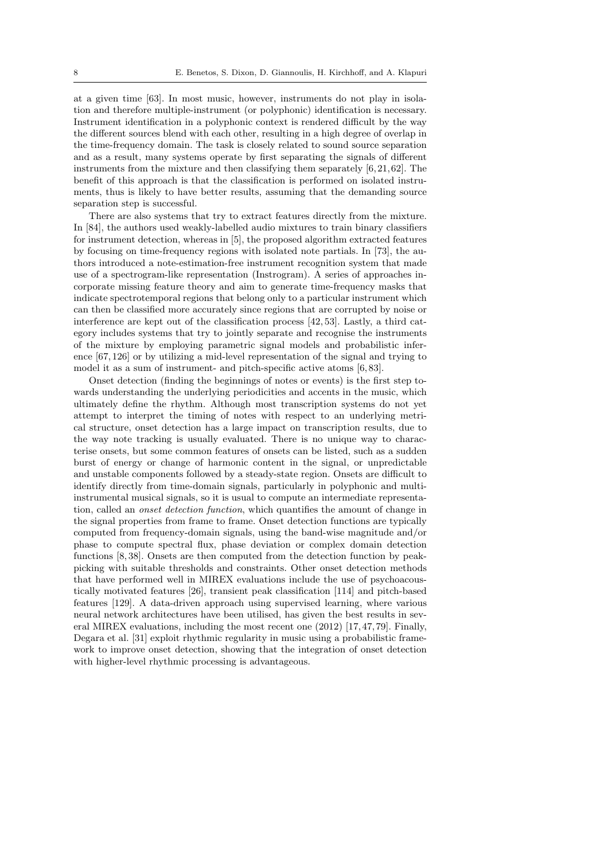at a given time [63]. In most music, however, instruments do not play in isolation and therefore multiple-instrument (or polyphonic) identification is necessary. Instrument identification in a polyphonic context is rendered difficult by the way the different sources blend with each other, resulting in a high degree of overlap in the time-frequency domain. The task is closely related to sound source separation and as a result, many systems operate by first separating the signals of different instruments from the mixture and then classifying them separately  $[6, 21, 62]$ . The benefit of this approach is that the classification is performed on isolated instruments, thus is likely to have better results, assuming that the demanding source separation step is successful.

There are also systems that try to extract features directly from the mixture. In [84], the authors used weakly-labelled audio mixtures to train binary classifiers for instrument detection, whereas in [5], the proposed algorithm extracted features by focusing on time-frequency regions with isolated note partials. In [73], the authors introduced a note-estimation-free instrument recognition system that made use of a spectrogram-like representation (Instrogram). A series of approaches incorporate missing feature theory and aim to generate time-frequency masks that indicate spectrotemporal regions that belong only to a particular instrument which can then be classified more accurately since regions that are corrupted by noise or interference are kept out of the classification process [42, 53]. Lastly, a third category includes systems that try to jointly separate and recognise the instruments of the mixture by employing parametric signal models and probabilistic inference [67, 126] or by utilizing a mid-level representation of the signal and trying to model it as a sum of instrument- and pitch-specific active atoms [6, 83].

Onset detection (finding the beginnings of notes or events) is the first step towards understanding the underlying periodicities and accents in the music, which ultimately define the rhythm. Although most transcription systems do not yet attempt to interpret the timing of notes with respect to an underlying metrical structure, onset detection has a large impact on transcription results, due to the way note tracking is usually evaluated. There is no unique way to characterise onsets, but some common features of onsets can be listed, such as a sudden burst of energy or change of harmonic content in the signal, or unpredictable and unstable components followed by a steady-state region. Onsets are difficult to identify directly from time-domain signals, particularly in polyphonic and multiinstrumental musical signals, so it is usual to compute an intermediate representation, called an onset detection function, which quantifies the amount of change in the signal properties from frame to frame. Onset detection functions are typically computed from frequency-domain signals, using the band-wise magnitude and/or phase to compute spectral flux, phase deviation or complex domain detection functions [8, 38]. Onsets are then computed from the detection function by peakpicking with suitable thresholds and constraints. Other onset detection methods that have performed well in MIREX evaluations include the use of psychoacoustically motivated features [26], transient peak classification [114] and pitch-based features [129]. A data-driven approach using supervised learning, where various neural network architectures have been utilised, has given the best results in several MIREX evaluations, including the most recent one (2012) [17, 47, 79]. Finally, Degara et al. [31] exploit rhythmic regularity in music using a probabilistic framework to improve onset detection, showing that the integration of onset detection with higher-level rhythmic processing is advantageous.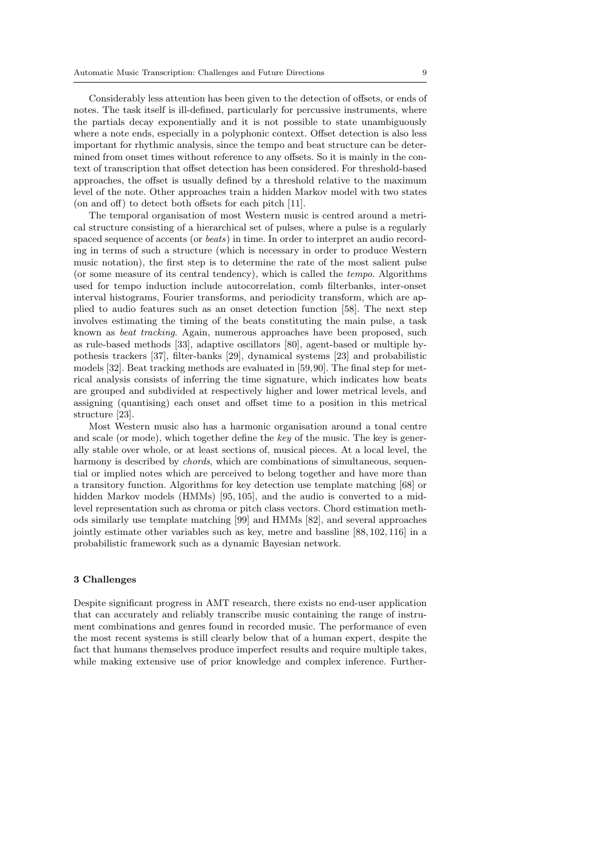Considerably less attention has been given to the detection of offsets, or ends of notes. The task itself is ill-defined, particularly for percussive instruments, where the partials decay exponentially and it is not possible to state unambiguously where a note ends, especially in a polyphonic context. Offset detection is also less important for rhythmic analysis, since the tempo and beat structure can be determined from onset times without reference to any offsets. So it is mainly in the context of transcription that offset detection has been considered. For threshold-based approaches, the offset is usually defined by a threshold relative to the maximum level of the note. Other approaches train a hidden Markov model with two states (on and off) to detect both offsets for each pitch [11].

The temporal organisation of most Western music is centred around a metrical structure consisting of a hierarchical set of pulses, where a pulse is a regularly spaced sequence of accents (or beats) in time. In order to interpret an audio recording in terms of such a structure (which is necessary in order to produce Western music notation), the first step is to determine the rate of the most salient pulse (or some measure of its central tendency), which is called the tempo. Algorithms used for tempo induction include autocorrelation, comb filterbanks, inter-onset interval histograms, Fourier transforms, and periodicity transform, which are applied to audio features such as an onset detection function [58]. The next step involves estimating the timing of the beats constituting the main pulse, a task known as beat tracking. Again, numerous approaches have been proposed, such as rule-based methods [33], adaptive oscillators [80], agent-based or multiple hypothesis trackers [37], filter-banks [29], dynamical systems [23] and probabilistic models [32]. Beat tracking methods are evaluated in [59,90]. The final step for metrical analysis consists of inferring the time signature, which indicates how beats are grouped and subdivided at respectively higher and lower metrical levels, and assigning (quantising) each onset and offset time to a position in this metrical structure [23].

Most Western music also has a harmonic organisation around a tonal centre and scale (or mode), which together define the key of the music. The key is generally stable over whole, or at least sections of, musical pieces. At a local level, the harmony is described by *chords*, which are combinations of simultaneous, sequential or implied notes which are perceived to belong together and have more than a transitory function. Algorithms for key detection use template matching [68] or hidden Markov models (HMMs) [95, 105], and the audio is converted to a midlevel representation such as chroma or pitch class vectors. Chord estimation methods similarly use template matching [99] and HMMs [82], and several approaches jointly estimate other variables such as key, metre and bassline [88, 102, 116] in a probabilistic framework such as a dynamic Bayesian network.

# 3 Challenges

Despite significant progress in AMT research, there exists no end-user application that can accurately and reliably transcribe music containing the range of instrument combinations and genres found in recorded music. The performance of even the most recent systems is still clearly below that of a human expert, despite the fact that humans themselves produce imperfect results and require multiple takes, while making extensive use of prior knowledge and complex inference. Further-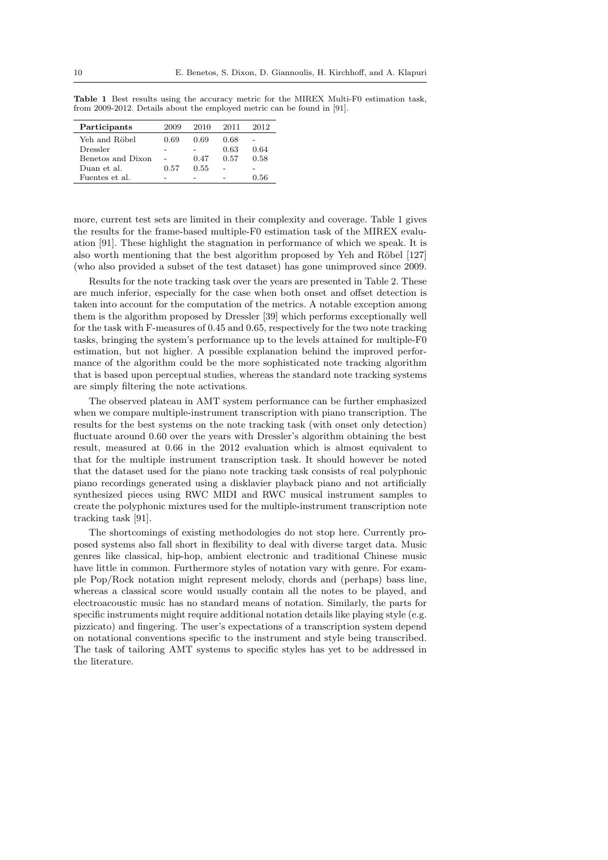| Participants      | 2009 | 2010 | 2011 | 2012 |
|-------------------|------|------|------|------|
| Yeh and Röbel     | 0.69 | 0.69 | 0.68 |      |
| Dressler          |      |      | 0.63 | 0.64 |
| Benetos and Dixon |      | 0.47 | 0.57 | 0.58 |
| Duan et al.       | 0.57 | 0.55 |      |      |
| Fuentes et al.    |      |      |      | በ 56 |

Table 1 Best results using the accuracy metric for the MIREX Multi-F0 estimation task, from 2009-2012. Details about the employed metric can be found in [91].

more, current test sets are limited in their complexity and coverage. Table 1 gives the results for the frame-based multiple-F0 estimation task of the MIREX evaluation [91]. These highlight the stagnation in performance of which we speak. It is also worth mentioning that the best algorithm proposed by Yeh and Röbel [127] (who also provided a subset of the test dataset) has gone unimproved since 2009.

Results for the note tracking task over the years are presented in Table 2. These are much inferior, especially for the case when both onset and offset detection is taken into account for the computation of the metrics. A notable exception among them is the algorithm proposed by Dressler [39] which performs exceptionally well for the task with F-measures of 0.45 and 0.65, respectively for the two note tracking tasks, bringing the system's performance up to the levels attained for multiple-F0 estimation, but not higher. A possible explanation behind the improved performance of the algorithm could be the more sophisticated note tracking algorithm that is based upon perceptual studies, whereas the standard note tracking systems are simply filtering the note activations.

The observed plateau in AMT system performance can be further emphasized when we compare multiple-instrument transcription with piano transcription. The results for the best systems on the note tracking task (with onset only detection) fluctuate around 0.60 over the years with Dressler's algorithm obtaining the best result, measured at 0.66 in the 2012 evaluation which is almost equivalent to that for the multiple instrument transcription task. It should however be noted that the dataset used for the piano note tracking task consists of real polyphonic piano recordings generated using a disklavier playback piano and not artificially synthesized pieces using RWC MIDI and RWC musical instrument samples to create the polyphonic mixtures used for the multiple-instrument transcription note tracking task [91].

The shortcomings of existing methodologies do not stop here. Currently proposed systems also fall short in flexibility to deal with diverse target data. Music genres like classical, hip-hop, ambient electronic and traditional Chinese music have little in common. Furthermore styles of notation vary with genre. For example Pop/Rock notation might represent melody, chords and (perhaps) bass line, whereas a classical score would usually contain all the notes to be played, and electroacoustic music has no standard means of notation. Similarly, the parts for specific instruments might require additional notation details like playing style (e.g. pizzicato) and fingering. The user's expectations of a transcription system depend on notational conventions specific to the instrument and style being transcribed. The task of tailoring AMT systems to specific styles has yet to be addressed in the literature.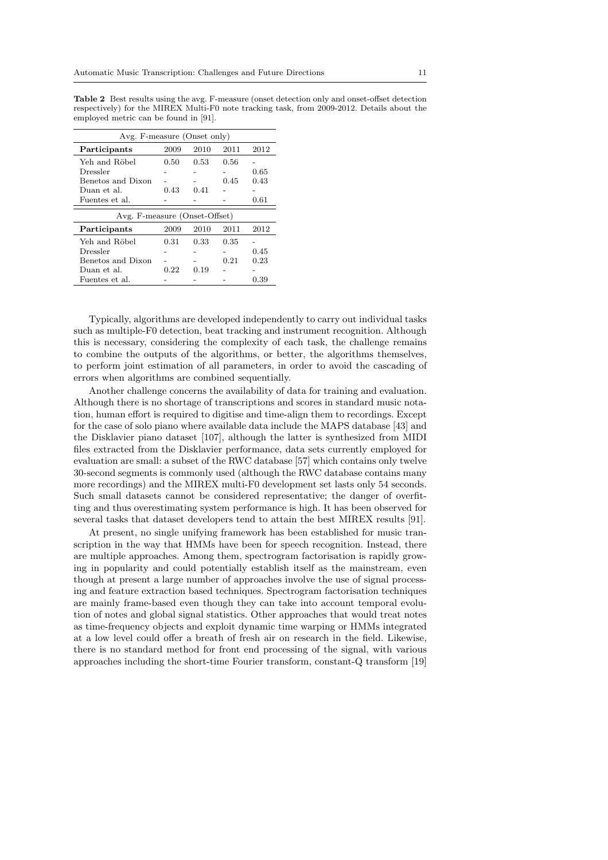Table 2 Best results using the avg. F-measure (onset detection only and onset-offset detection respectively) for the MIREX Multi-F0 note tracking task, from 2009-2012. Details about the employed metric can be found in [91].

| Avg. F-measure (Onset only)   |      |      |      |      |  |  |
|-------------------------------|------|------|------|------|--|--|
| Participants                  | 2009 | 2010 | 2011 | 2012 |  |  |
| Yeh and Röbel                 | 0.50 | 0.53 | 0.56 |      |  |  |
| Dressler                      |      |      |      | 0.65 |  |  |
| Benetos and Dixon             |      |      | 0.45 | 0.43 |  |  |
| Duan et al.                   | 0.43 | 0.41 |      |      |  |  |
| Fuentes et al.                |      |      |      | 0.61 |  |  |
| Avg. F-measure (Onset-Offset) |      |      |      |      |  |  |
| Participants                  | 2009 | 2010 | 2011 | 2012 |  |  |
| Yeh and Röbel                 | 0.31 | 0.33 | 0.35 |      |  |  |
| Dressler                      |      |      |      | 0.45 |  |  |
| Benetos and Dixon             |      |      | 0.21 | 0.23 |  |  |
|                               |      |      |      |      |  |  |
| Duan et al.                   | 0.22 | 0.19 |      |      |  |  |

Typically, algorithms are developed independently to carry out individual tasks such as multiple-F0 detection, beat tracking and instrument recognition. Although this is necessary, considering the complexity of each task, the challenge remains to combine the outputs of the algorithms, or better, the algorithms themselves, to perform joint estimation of all parameters, in order to avoid the cascading of errors when algorithms are combined sequentially.

Another challenge concerns the availability of data for training and evaluation. Although there is no shortage of transcriptions and scores in standard music notation, human effort is required to digitise and time-align them to recordings. Except for the case of solo piano where available data include the MAPS database [43] and the Disklavier piano dataset [107], although the latter is synthesized from MIDI files extracted from the Disklavier performance, data sets currently employed for evaluation are small: a subset of the RWC database [57] which contains only twelve 30-second segments is commonly used (although the RWC database contains many more recordings) and the MIREX multi-F0 development set lasts only 54 seconds. Such small datasets cannot be considered representative; the danger of overfitting and thus overestimating system performance is high. It has been observed for several tasks that dataset developers tend to attain the best MIREX results [91].

At present, no single unifying framework has been established for music transcription in the way that HMMs have been for speech recognition. Instead, there are multiple approaches. Among them, spectrogram factorisation is rapidly growing in popularity and could potentially establish itself as the mainstream, even though at present a large number of approaches involve the use of signal processing and feature extraction based techniques. Spectrogram factorisation techniques are mainly frame-based even though they can take into account temporal evolution of notes and global signal statistics. Other approaches that would treat notes as time-frequency objects and exploit dynamic time warping or HMMs integrated at a low level could offer a breath of fresh air on research in the field. Likewise, there is no standard method for front end processing of the signal, with various approaches including the short-time Fourier transform, constant-Q transform [19]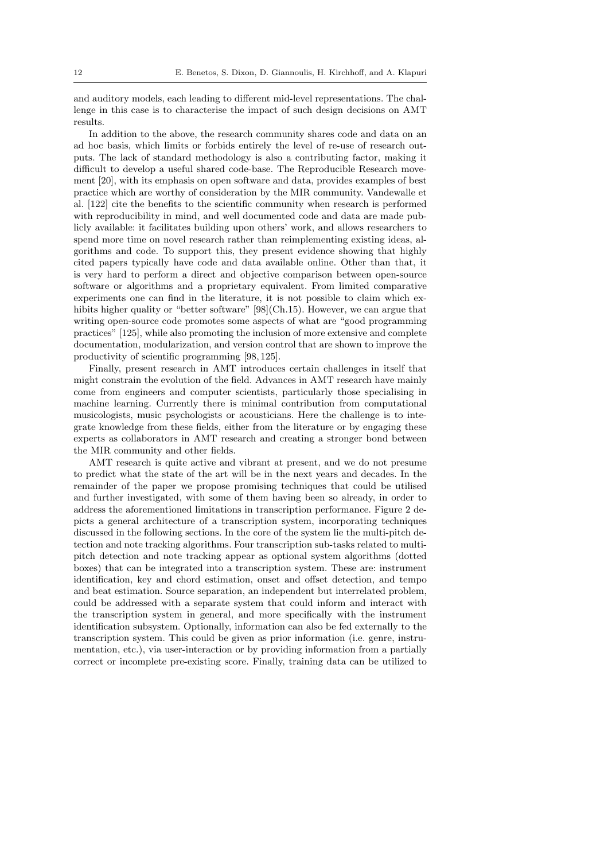and auditory models, each leading to different mid-level representations. The challenge in this case is to characterise the impact of such design decisions on AMT results.

In addition to the above, the research community shares code and data on an ad hoc basis, which limits or forbids entirely the level of re-use of research outputs. The lack of standard methodology is also a contributing factor, making it difficult to develop a useful shared code-base. The Reproducible Research movement [20], with its emphasis on open software and data, provides examples of best practice which are worthy of consideration by the MIR community. Vandewalle et al. [122] cite the benefits to the scientific community when research is performed with reproducibility in mind, and well documented code and data are made publicly available: it facilitates building upon others' work, and allows researchers to spend more time on novel research rather than reimplementing existing ideas, algorithms and code. To support this, they present evidence showing that highly cited papers typically have code and data available online. Other than that, it is very hard to perform a direct and objective comparison between open-source software or algorithms and a proprietary equivalent. From limited comparative experiments one can find in the literature, it is not possible to claim which exhibits higher quality or "better software" [98](Ch.15). However, we can argue that writing open-source code promotes some aspects of what are "good programming practices" [125], while also promoting the inclusion of more extensive and complete documentation, modularization, and version control that are shown to improve the productivity of scientific programming [98, 125].

Finally, present research in AMT introduces certain challenges in itself that might constrain the evolution of the field. Advances in AMT research have mainly come from engineers and computer scientists, particularly those specialising in machine learning. Currently there is minimal contribution from computational musicologists, music psychologists or acousticians. Here the challenge is to integrate knowledge from these fields, either from the literature or by engaging these experts as collaborators in AMT research and creating a stronger bond between the MIR community and other fields.

AMT research is quite active and vibrant at present, and we do not presume to predict what the state of the art will be in the next years and decades. In the remainder of the paper we propose promising techniques that could be utilised and further investigated, with some of them having been so already, in order to address the aforementioned limitations in transcription performance. Figure 2 depicts a general architecture of a transcription system, incorporating techniques discussed in the following sections. In the core of the system lie the multi-pitch detection and note tracking algorithms. Four transcription sub-tasks related to multipitch detection and note tracking appear as optional system algorithms (dotted boxes) that can be integrated into a transcription system. These are: instrument identification, key and chord estimation, onset and offset detection, and tempo and beat estimation. Source separation, an independent but interrelated problem, could be addressed with a separate system that could inform and interact with the transcription system in general, and more specifically with the instrument identification subsystem. Optionally, information can also be fed externally to the transcription system. This could be given as prior information (i.e. genre, instrumentation, etc.), via user-interaction or by providing information from a partially correct or incomplete pre-existing score. Finally, training data can be utilized to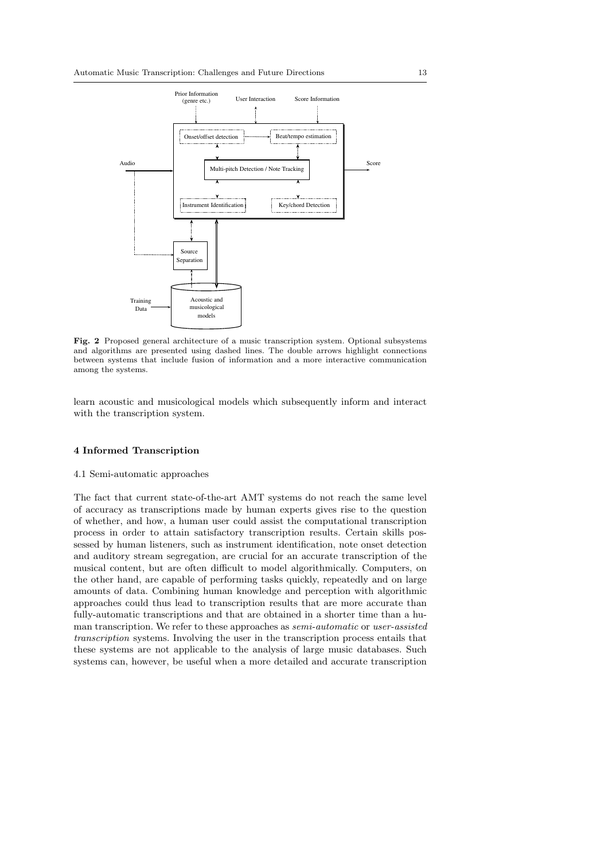

Fig. 2 Proposed general architecture of a music transcription system. Optional subsystems and algorithms are presented using dashed lines. The double arrows highlight connections between systems that include fusion of information and a more interactive communication among the systems.

learn acoustic and musicological models which subsequently inform and interact with the transcription system.

# 4 Informed Transcription

## 4.1 Semi-automatic approaches

The fact that current state-of-the-art AMT systems do not reach the same level of accuracy as transcriptions made by human experts gives rise to the question of whether, and how, a human user could assist the computational transcription process in order to attain satisfactory transcription results. Certain skills possessed by human listeners, such as instrument identification, note onset detection and auditory stream segregation, are crucial for an accurate transcription of the musical content, but are often difficult to model algorithmically. Computers, on the other hand, are capable of performing tasks quickly, repeatedly and on large amounts of data. Combining human knowledge and perception with algorithmic approaches could thus lead to transcription results that are more accurate than fully-automatic transcriptions and that are obtained in a shorter time than a human transcription. We refer to these approaches as semi-automatic or user-assisted transcription systems. Involving the user in the transcription process entails that these systems are not applicable to the analysis of large music databases. Such systems can, however, be useful when a more detailed and accurate transcription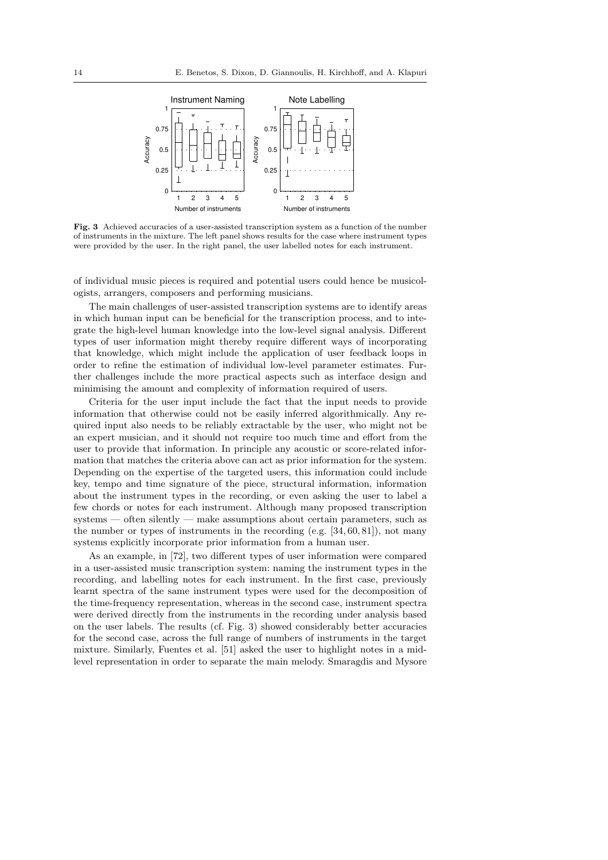

Fig. 3 Achieved accuracies of a user-assisted transcription system as a function of the number of instruments in the mixture. The left panel shows results for the case where instrument types were provided by the user. In the right panel, the user labelled notes for each instrument.

of individual music pieces is required and potential users could hence be musicologists, arrangers, composers and performing musicians.

The main challenges of user-assisted transcription systems are to identify areas in which human input can be beneficial for the transcription process, and to integrate the high-level human knowledge into the low-level signal analysis. Different types of user information might thereby require different ways of incorporating that knowledge, which might include the application of user feedback loops in order to refine the estimation of individual low-level parameter estimates. Further challenges include the more practical aspects such as interface design and minimising the amount and complexity of information required of users.

Criteria for the user input include the fact that the input needs to provide information that otherwise could not be easily inferred algorithmically. Any required input also needs to be reliably extractable by the user, who might not be an expert musician, and it should not require too much time and effort from the user to provide that information. In principle any acoustic or score-related information that matches the criteria above can act as prior information for the system. Depending on the expertise of the targeted users, this information could include key, tempo and time signature of the piece, structural information, information about the instrument types in the recording, or even asking the user to label a few chords or notes for each instrument. Although many proposed transcription systems — often silently — make assumptions about certain parameters, such as the number or types of instruments in the recording (e.g. [34, 60, 81]), not many systems explicitly incorporate prior information from a human user.

As an example, in [72], two different types of user information were compared in a user-assisted music transcription system: naming the instrument types in the recording, and labelling notes for each instrument. In the first case, previously learnt spectra of the same instrument types were used for the decomposition of the time-frequency representation, whereas in the second case, instrument spectra were derived directly from the instruments in the recording under analysis based on the user labels. The results (cf. Fig. 3) showed considerably better accuracies for the second case, across the full range of numbers of instruments in the target mixture. Similarly, Fuentes et al. [51] asked the user to highlight notes in a midlevel representation in order to separate the main melody. Smaragdis and Mysore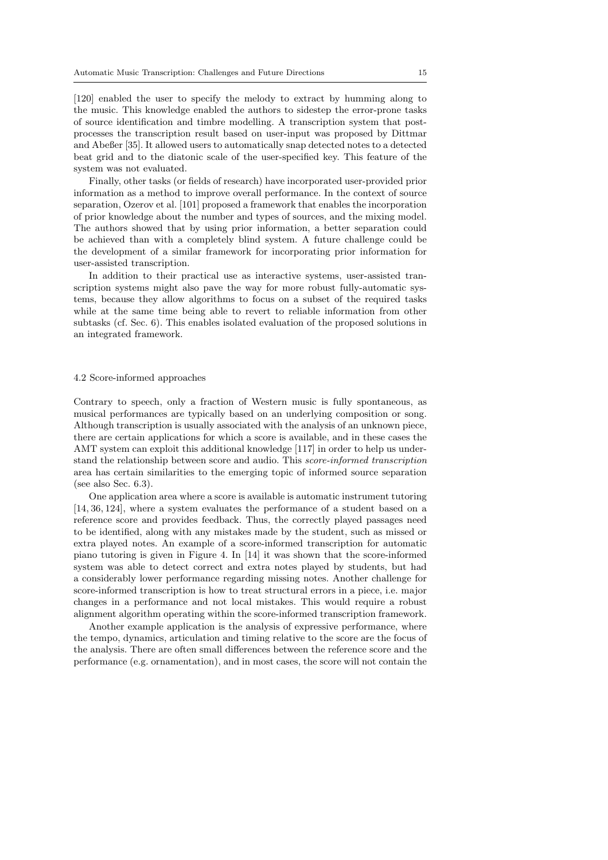[120] enabled the user to specify the melody to extract by humming along to the music. This knowledge enabled the authors to sidestep the error-prone tasks of source identification and timbre modelling. A transcription system that postprocesses the transcription result based on user-input was proposed by Dittmar and Abeßer [35]. It allowed users to automatically snap detected notes to a detected beat grid and to the diatonic scale of the user-specified key. This feature of the system was not evaluated.

Finally, other tasks (or fields of research) have incorporated user-provided prior information as a method to improve overall performance. In the context of source separation, Ozerov et al. [101] proposed a framework that enables the incorporation of prior knowledge about the number and types of sources, and the mixing model. The authors showed that by using prior information, a better separation could be achieved than with a completely blind system. A future challenge could be the development of a similar framework for incorporating prior information for user-assisted transcription.

In addition to their practical use as interactive systems, user-assisted transcription systems might also pave the way for more robust fully-automatic systems, because they allow algorithms to focus on a subset of the required tasks while at the same time being able to revert to reliable information from other subtasks (cf. Sec. 6). This enables isolated evaluation of the proposed solutions in an integrated framework.

#### 4.2 Score-informed approaches

Contrary to speech, only a fraction of Western music is fully spontaneous, as musical performances are typically based on an underlying composition or song. Although transcription is usually associated with the analysis of an unknown piece, there are certain applications for which a score is available, and in these cases the AMT system can exploit this additional knowledge [117] in order to help us understand the relationship between score and audio. This score-informed transcription area has certain similarities to the emerging topic of informed source separation (see also Sec. 6.3).

One application area where a score is available is automatic instrument tutoring [14, 36, 124], where a system evaluates the performance of a student based on a reference score and provides feedback. Thus, the correctly played passages need to be identified, along with any mistakes made by the student, such as missed or extra played notes. An example of a score-informed transcription for automatic piano tutoring is given in Figure 4. In [14] it was shown that the score-informed system was able to detect correct and extra notes played by students, but had a considerably lower performance regarding missing notes. Another challenge for score-informed transcription is how to treat structural errors in a piece, i.e. major changes in a performance and not local mistakes. This would require a robust alignment algorithm operating within the score-informed transcription framework.

Another example application is the analysis of expressive performance, where the tempo, dynamics, articulation and timing relative to the score are the focus of the analysis. There are often small differences between the reference score and the performance (e.g. ornamentation), and in most cases, the score will not contain the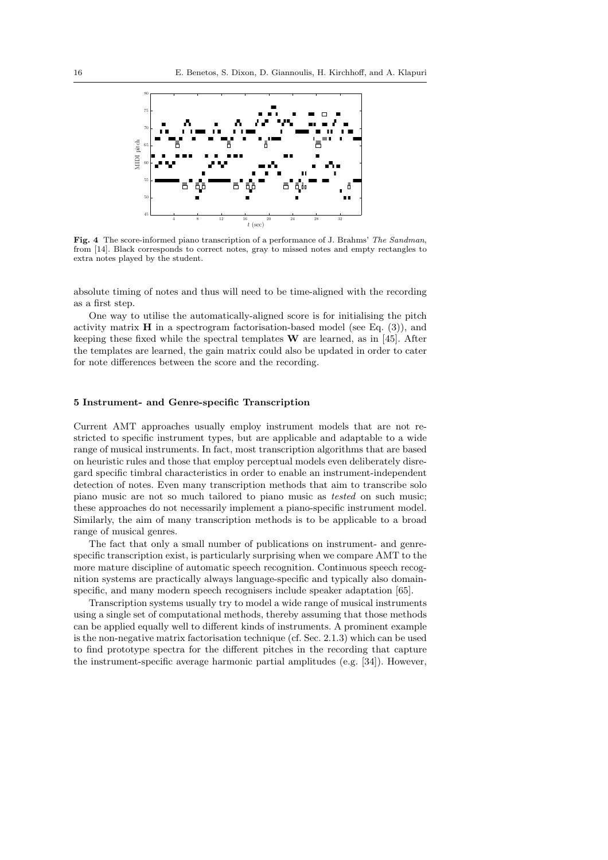

Fig. 4 The score-informed piano transcription of a performance of J. Brahms' The Sandman, from [14]. Black corresponds to correct notes, gray to missed notes and empty rectangles to extra notes played by the student.

absolute timing of notes and thus will need to be time-aligned with the recording as a first step.

One way to utilise the automatically-aligned score is for initialising the pitch activity matrix  $H$  in a spectrogram factorisation-based model (see Eq. (3)), and keeping these fixed while the spectral templates  $W$  are learned, as in [45]. After the templates are learned, the gain matrix could also be updated in order to cater for note differences between the score and the recording.

## 5 Instrument- and Genre-specific Transcription

Current AMT approaches usually employ instrument models that are not restricted to specific instrument types, but are applicable and adaptable to a wide range of musical instruments. In fact, most transcription algorithms that are based on heuristic rules and those that employ perceptual models even deliberately disregard specific timbral characteristics in order to enable an instrument-independent detection of notes. Even many transcription methods that aim to transcribe solo piano music are not so much tailored to piano music as tested on such music; these approaches do not necessarily implement a piano-specific instrument model. Similarly, the aim of many transcription methods is to be applicable to a broad range of musical genres.

The fact that only a small number of publications on instrument- and genrespecific transcription exist, is particularly surprising when we compare AMT to the more mature discipline of automatic speech recognition. Continuous speech recognition systems are practically always language-specific and typically also domainspecific, and many modern speech recognisers include speaker adaptation [65].

Transcription systems usually try to model a wide range of musical instruments using a single set of computational methods, thereby assuming that those methods can be applied equally well to different kinds of instruments. A prominent example is the non-negative matrix factorisation technique (cf. Sec. 2.1.3) which can be used to find prototype spectra for the different pitches in the recording that capture the instrument-specific average harmonic partial amplitudes (e.g. [34]). However,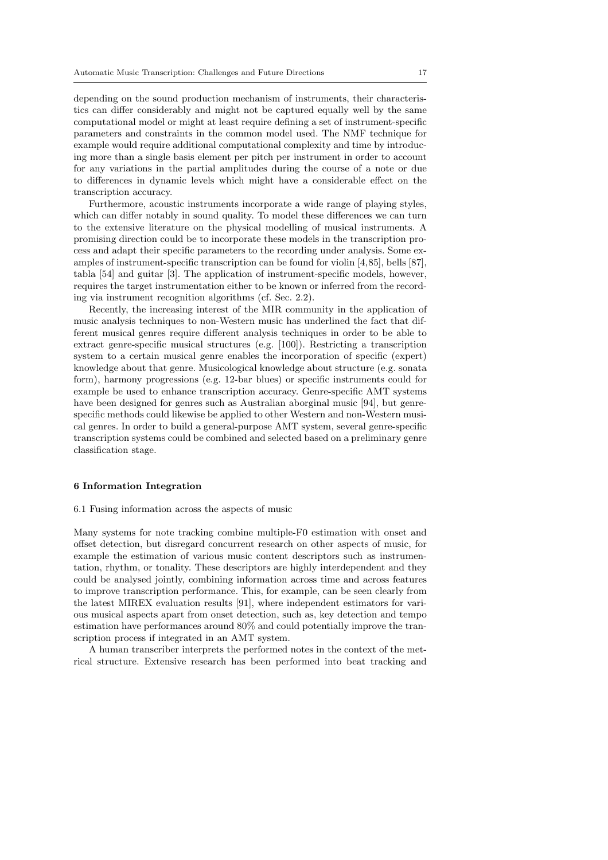depending on the sound production mechanism of instruments, their characteristics can differ considerably and might not be captured equally well by the same computational model or might at least require defining a set of instrument-specific parameters and constraints in the common model used. The NMF technique for example would require additional computational complexity and time by introducing more than a single basis element per pitch per instrument in order to account for any variations in the partial amplitudes during the course of a note or due to differences in dynamic levels which might have a considerable effect on the transcription accuracy.

Furthermore, acoustic instruments incorporate a wide range of playing styles, which can differ notably in sound quality. To model these differences we can turn to the extensive literature on the physical modelling of musical instruments. A promising direction could be to incorporate these models in the transcription process and adapt their specific parameters to the recording under analysis. Some examples of instrument-specific transcription can be found for violin [4,85], bells [87], tabla [54] and guitar [3]. The application of instrument-specific models, however, requires the target instrumentation either to be known or inferred from the recording via instrument recognition algorithms (cf. Sec. 2.2).

Recently, the increasing interest of the MIR community in the application of music analysis techniques to non-Western music has underlined the fact that different musical genres require different analysis techniques in order to be able to extract genre-specific musical structures (e.g. [100]). Restricting a transcription system to a certain musical genre enables the incorporation of specific (expert) knowledge about that genre. Musicological knowledge about structure (e.g. sonata form), harmony progressions (e.g. 12-bar blues) or specific instruments could for example be used to enhance transcription accuracy. Genre-specific AMT systems have been designed for genres such as Australian aborginal music [94], but genrespecific methods could likewise be applied to other Western and non-Western musical genres. In order to build a general-purpose AMT system, several genre-specific transcription systems could be combined and selected based on a preliminary genre classification stage.

#### 6 Information Integration

#### 6.1 Fusing information across the aspects of music

Many systems for note tracking combine multiple-F0 estimation with onset and offset detection, but disregard concurrent research on other aspects of music, for example the estimation of various music content descriptors such as instrumentation, rhythm, or tonality. These descriptors are highly interdependent and they could be analysed jointly, combining information across time and across features to improve transcription performance. This, for example, can be seen clearly from the latest MIREX evaluation results [91], where independent estimators for various musical aspects apart from onset detection, such as, key detection and tempo estimation have performances around 80% and could potentially improve the transcription process if integrated in an AMT system.

A human transcriber interprets the performed notes in the context of the metrical structure. Extensive research has been performed into beat tracking and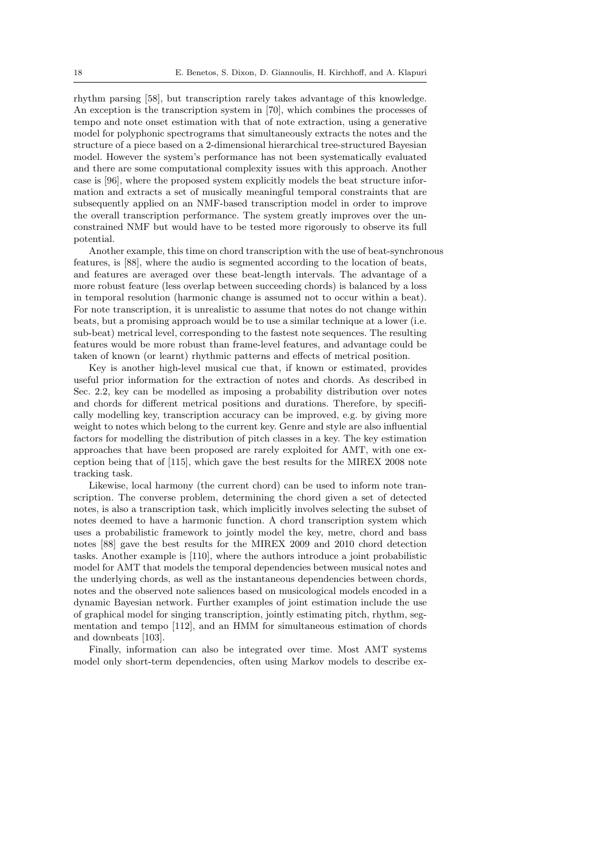rhythm parsing [58], but transcription rarely takes advantage of this knowledge. An exception is the transcription system in [70], which combines the processes of tempo and note onset estimation with that of note extraction, using a generative model for polyphonic spectrograms that simultaneously extracts the notes and the structure of a piece based on a 2-dimensional hierarchical tree-structured Bayesian model. However the system's performance has not been systematically evaluated and there are some computational complexity issues with this approach. Another case is [96], where the proposed system explicitly models the beat structure information and extracts a set of musically meaningful temporal constraints that are subsequently applied on an NMF-based transcription model in order to improve the overall transcription performance. The system greatly improves over the unconstrained NMF but would have to be tested more rigorously to observe its full potential.

Another example, this time on chord transcription with the use of beat-synchronous features, is [88], where the audio is segmented according to the location of beats, and features are averaged over these beat-length intervals. The advantage of a more robust feature (less overlap between succeeding chords) is balanced by a loss in temporal resolution (harmonic change is assumed not to occur within a beat). For note transcription, it is unrealistic to assume that notes do not change within beats, but a promising approach would be to use a similar technique at a lower (i.e. sub-beat) metrical level, corresponding to the fastest note sequences. The resulting features would be more robust than frame-level features, and advantage could be taken of known (or learnt) rhythmic patterns and effects of metrical position.

Key is another high-level musical cue that, if known or estimated, provides useful prior information for the extraction of notes and chords. As described in Sec. 2.2, key can be modelled as imposing a probability distribution over notes and chords for different metrical positions and durations. Therefore, by specifically modelling key, transcription accuracy can be improved, e.g. by giving more weight to notes which belong to the current key. Genre and style are also influential factors for modelling the distribution of pitch classes in a key. The key estimation approaches that have been proposed are rarely exploited for AMT, with one exception being that of [115], which gave the best results for the MIREX 2008 note tracking task.

Likewise, local harmony (the current chord) can be used to inform note transcription. The converse problem, determining the chord given a set of detected notes, is also a transcription task, which implicitly involves selecting the subset of notes deemed to have a harmonic function. A chord transcription system which uses a probabilistic framework to jointly model the key, metre, chord and bass notes [88] gave the best results for the MIREX 2009 and 2010 chord detection tasks. Another example is [110], where the authors introduce a joint probabilistic model for AMT that models the temporal dependencies between musical notes and the underlying chords, as well as the instantaneous dependencies between chords, notes and the observed note saliences based on musicological models encoded in a dynamic Bayesian network. Further examples of joint estimation include the use of graphical model for singing transcription, jointly estimating pitch, rhythm, segmentation and tempo [112], and an HMM for simultaneous estimation of chords and downbeats [103].

Finally, information can also be integrated over time. Most AMT systems model only short-term dependencies, often using Markov models to describe ex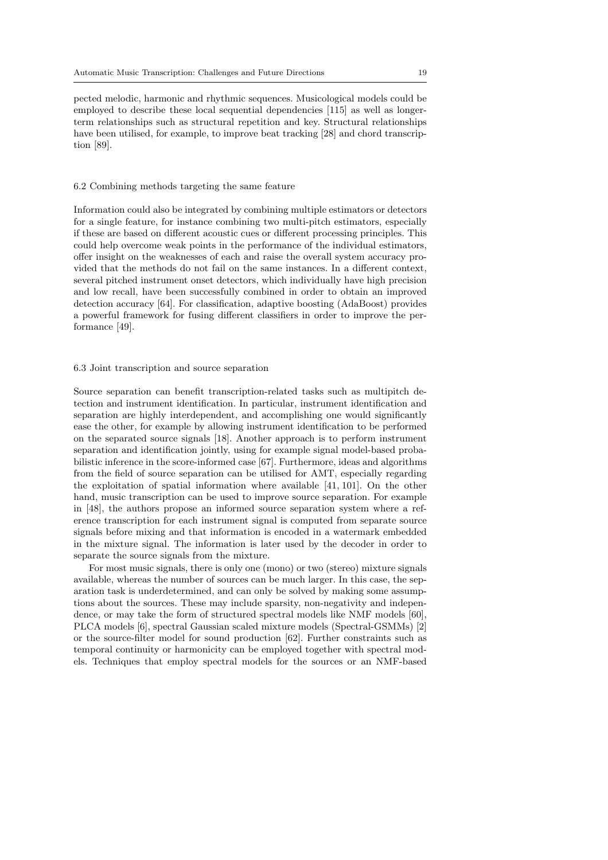pected melodic, harmonic and rhythmic sequences. Musicological models could be employed to describe these local sequential dependencies [115] as well as longerterm relationships such as structural repetition and key. Structural relationships have been utilised, for example, to improve beat tracking [28] and chord transcription [89].

## 6.2 Combining methods targeting the same feature

Information could also be integrated by combining multiple estimators or detectors for a single feature, for instance combining two multi-pitch estimators, especially if these are based on different acoustic cues or different processing principles. This could help overcome weak points in the performance of the individual estimators, offer insight on the weaknesses of each and raise the overall system accuracy provided that the methods do not fail on the same instances. In a different context, several pitched instrument onset detectors, which individually have high precision and low recall, have been successfully combined in order to obtain an improved detection accuracy [64]. For classification, adaptive boosting (AdaBoost) provides a powerful framework for fusing different classifiers in order to improve the performance [49].

#### 6.3 Joint transcription and source separation

Source separation can benefit transcription-related tasks such as multipitch detection and instrument identification. In particular, instrument identification and separation are highly interdependent, and accomplishing one would significantly ease the other, for example by allowing instrument identification to be performed on the separated source signals [18]. Another approach is to perform instrument separation and identification jointly, using for example signal model-based probabilistic inference in the score-informed case [67]. Furthermore, ideas and algorithms from the field of source separation can be utilised for AMT, especially regarding the exploitation of spatial information where available [41, 101]. On the other hand, music transcription can be used to improve source separation. For example in [48], the authors propose an informed source separation system where a reference transcription for each instrument signal is computed from separate source signals before mixing and that information is encoded in a watermark embedded in the mixture signal. The information is later used by the decoder in order to separate the source signals from the mixture.

For most music signals, there is only one (mono) or two (stereo) mixture signals available, whereas the number of sources can be much larger. In this case, the separation task is underdetermined, and can only be solved by making some assumptions about the sources. These may include sparsity, non-negativity and independence, or may take the form of structured spectral models like NMF models [60], PLCA models [6], spectral Gaussian scaled mixture models (Spectral-GSMMs) [2] or the source-filter model for sound production [62]. Further constraints such as temporal continuity or harmonicity can be employed together with spectral models. Techniques that employ spectral models for the sources or an NMF-based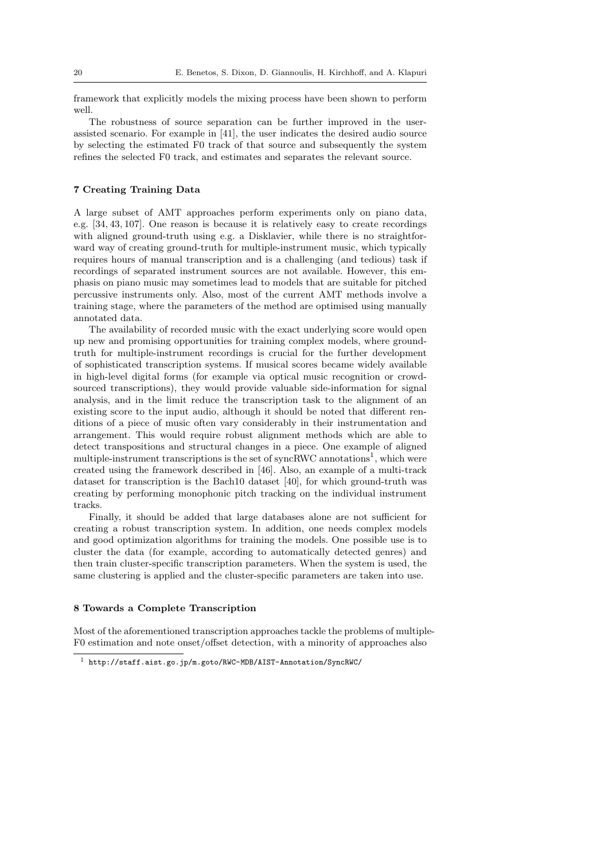framework that explicitly models the mixing process have been shown to perform well.

The robustness of source separation can be further improved in the userassisted scenario. For example in [41], the user indicates the desired audio source by selecting the estimated F0 track of that source and subsequently the system refines the selected F0 track, and estimates and separates the relevant source.

# 7 Creating Training Data

A large subset of AMT approaches perform experiments only on piano data, e.g. [34, 43, 107]. One reason is because it is relatively easy to create recordings with aligned ground-truth using e.g. a Disklavier, while there is no straightforward way of creating ground-truth for multiple-instrument music, which typically requires hours of manual transcription and is a challenging (and tedious) task if recordings of separated instrument sources are not available. However, this emphasis on piano music may sometimes lead to models that are suitable for pitched percussive instruments only. Also, most of the current AMT methods involve a training stage, where the parameters of the method are optimised using manually annotated data.

The availability of recorded music with the exact underlying score would open up new and promising opportunities for training complex models, where groundtruth for multiple-instrument recordings is crucial for the further development of sophisticated transcription systems. If musical scores became widely available in high-level digital forms (for example via optical music recognition or crowdsourced transcriptions), they would provide valuable side-information for signal analysis, and in the limit reduce the transcription task to the alignment of an existing score to the input audio, although it should be noted that different renditions of a piece of music often vary considerably in their instrumentation and arrangement. This would require robust alignment methods which are able to detect transpositions and structural changes in a piece. One example of aligned multiple-instrument transcriptions is the set of syncRWC annotations<sup>1</sup>, which were created using the framework described in [46]. Also, an example of a multi-track dataset for transcription is the Bach10 dataset [40], for which ground-truth was creating by performing monophonic pitch tracking on the individual instrument tracks.

Finally, it should be added that large databases alone are not sufficient for creating a robust transcription system. In addition, one needs complex models and good optimization algorithms for training the models. One possible use is to cluster the data (for example, according to automatically detected genres) and then train cluster-specific transcription parameters. When the system is used, the same clustering is applied and the cluster-specific parameters are taken into use.

## 8 Towards a Complete Transcription

Most of the aforementioned transcription approaches tackle the problems of multiple-F0 estimation and note onset/offset detection, with a minority of approaches also

<sup>1</sup> http://staff.aist.go.jp/m.goto/RWC-MDB/AIST-Annotation/SyncRWC/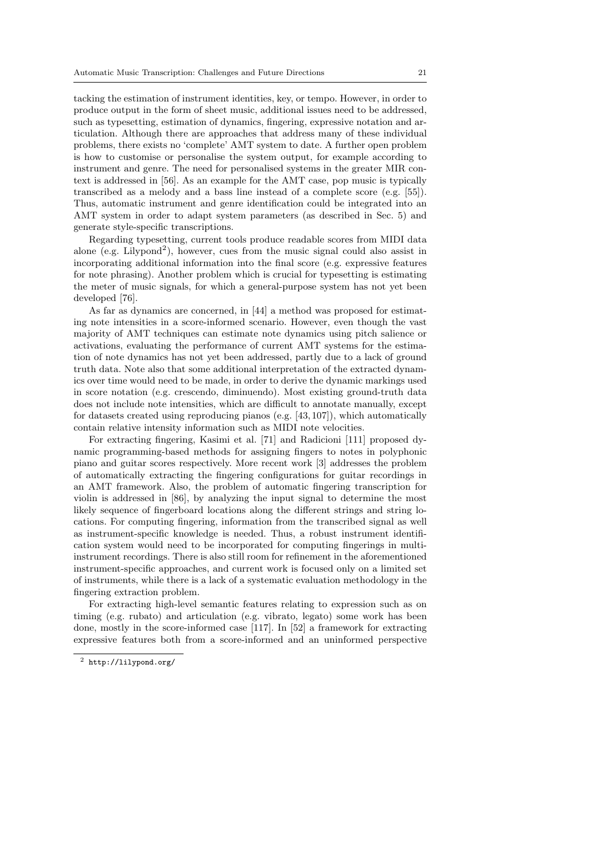tacking the estimation of instrument identities, key, or tempo. However, in order to produce output in the form of sheet music, additional issues need to be addressed, such as typesetting, estimation of dynamics, fingering, expressive notation and articulation. Although there are approaches that address many of these individual problems, there exists no 'complete' AMT system to date. A further open problem is how to customise or personalise the system output, for example according to instrument and genre. The need for personalised systems in the greater MIR context is addressed in [56]. As an example for the AMT case, pop music is typically transcribed as a melody and a bass line instead of a complete score (e.g. [55]). Thus, automatic instrument and genre identification could be integrated into an AMT system in order to adapt system parameters (as described in Sec. 5) and generate style-specific transcriptions.

Regarding typesetting, current tools produce readable scores from MIDI data alone (e.g. Lilypond<sup>2</sup>), however, cues from the music signal could also assist in incorporating additional information into the final score (e.g. expressive features for note phrasing). Another problem which is crucial for typesetting is estimating the meter of music signals, for which a general-purpose system has not yet been developed [76].

As far as dynamics are concerned, in [44] a method was proposed for estimating note intensities in a score-informed scenario. However, even though the vast majority of AMT techniques can estimate note dynamics using pitch salience or activations, evaluating the performance of current AMT systems for the estimation of note dynamics has not yet been addressed, partly due to a lack of ground truth data. Note also that some additional interpretation of the extracted dynamics over time would need to be made, in order to derive the dynamic markings used in score notation (e.g. crescendo, diminuendo). Most existing ground-truth data does not include note intensities, which are difficult to annotate manually, except for datasets created using reproducing pianos (e.g. [43, 107]), which automatically contain relative intensity information such as MIDI note velocities.

For extracting fingering, Kasimi et al. [71] and Radicioni [111] proposed dynamic programming-based methods for assigning fingers to notes in polyphonic piano and guitar scores respectively. More recent work [3] addresses the problem of automatically extracting the fingering configurations for guitar recordings in an AMT framework. Also, the problem of automatic fingering transcription for violin is addressed in [86], by analyzing the input signal to determine the most likely sequence of fingerboard locations along the different strings and string locations. For computing fingering, information from the transcribed signal as well as instrument-specific knowledge is needed. Thus, a robust instrument identification system would need to be incorporated for computing fingerings in multiinstrument recordings. There is also still room for refinement in the aforementioned instrument-specific approaches, and current work is focused only on a limited set of instruments, while there is a lack of a systematic evaluation methodology in the fingering extraction problem.

For extracting high-level semantic features relating to expression such as on timing (e.g. rubato) and articulation (e.g. vibrato, legato) some work has been done, mostly in the score-informed case [117]. In [52] a framework for extracting expressive features both from a score-informed and an uninformed perspective

 $^2$ http://lilypond.org/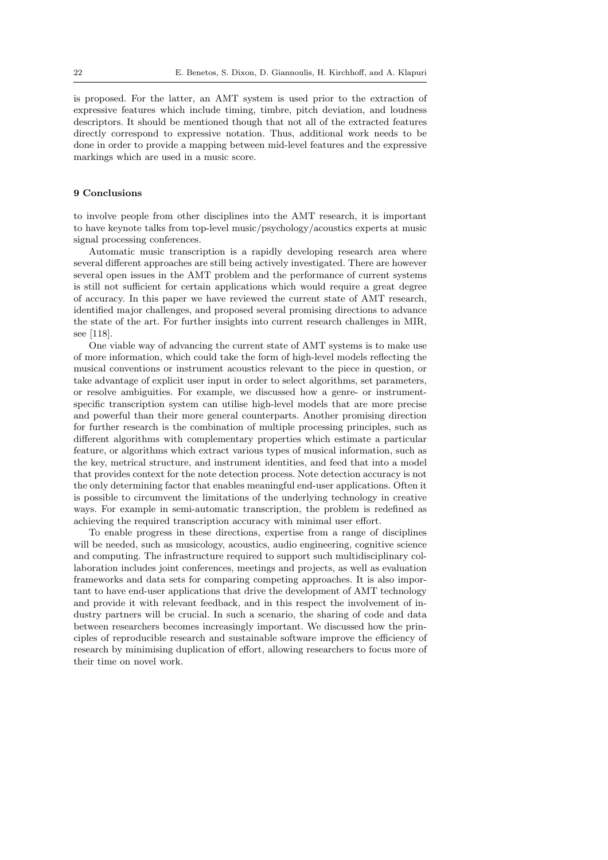is proposed. For the latter, an AMT system is used prior to the extraction of expressive features which include timing, timbre, pitch deviation, and loudness descriptors. It should be mentioned though that not all of the extracted features directly correspond to expressive notation. Thus, additional work needs to be done in order to provide a mapping between mid-level features and the expressive markings which are used in a music score.

## 9 Conclusions

to involve people from other disciplines into the AMT research, it is important to have keynote talks from top-level music/psychology/acoustics experts at music signal processing conferences.

Automatic music transcription is a rapidly developing research area where several different approaches are still being actively investigated. There are however several open issues in the AMT problem and the performance of current systems is still not sufficient for certain applications which would require a great degree of accuracy. In this paper we have reviewed the current state of AMT research, identified major challenges, and proposed several promising directions to advance the state of the art. For further insights into current research challenges in MIR, see [118].

One viable way of advancing the current state of AMT systems is to make use of more information, which could take the form of high-level models reflecting the musical conventions or instrument acoustics relevant to the piece in question, or take advantage of explicit user input in order to select algorithms, set parameters, or resolve ambiguities. For example, we discussed how a genre- or instrumentspecific transcription system can utilise high-level models that are more precise and powerful than their more general counterparts. Another promising direction for further research is the combination of multiple processing principles, such as different algorithms with complementary properties which estimate a particular feature, or algorithms which extract various types of musical information, such as the key, metrical structure, and instrument identities, and feed that into a model that provides context for the note detection process. Note detection accuracy is not the only determining factor that enables meaningful end-user applications. Often it is possible to circumvent the limitations of the underlying technology in creative ways. For example in semi-automatic transcription, the problem is redefined as achieving the required transcription accuracy with minimal user effort.

To enable progress in these directions, expertise from a range of disciplines will be needed, such as musicology, acoustics, audio engineering, cognitive science and computing. The infrastructure required to support such multidisciplinary collaboration includes joint conferences, meetings and projects, as well as evaluation frameworks and data sets for comparing competing approaches. It is also important to have end-user applications that drive the development of AMT technology and provide it with relevant feedback, and in this respect the involvement of industry partners will be crucial. In such a scenario, the sharing of code and data between researchers becomes increasingly important. We discussed how the principles of reproducible research and sustainable software improve the efficiency of research by minimising duplication of effort, allowing researchers to focus more of their time on novel work.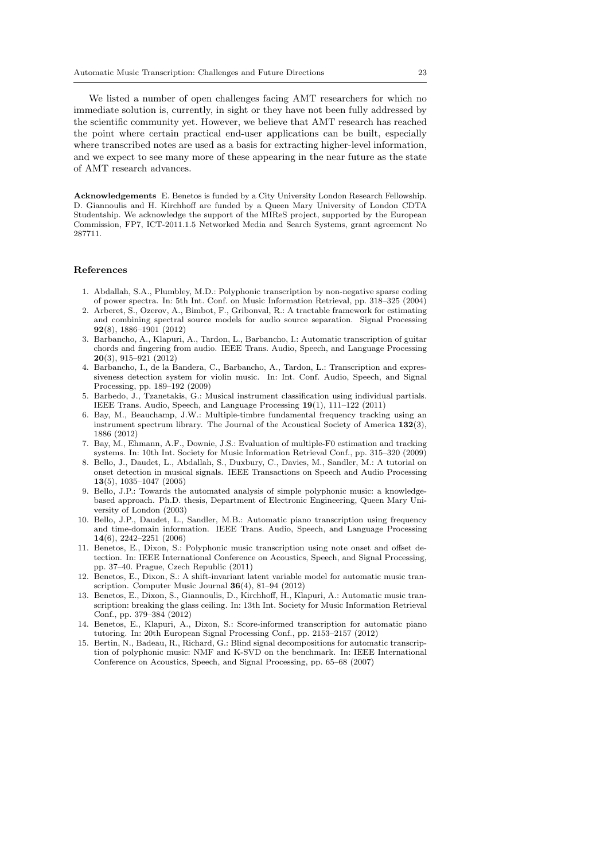We listed a number of open challenges facing AMT researchers for which no immediate solution is, currently, in sight or they have not been fully addressed by the scientific community yet. However, we believe that AMT research has reached the point where certain practical end-user applications can be built, especially where transcribed notes are used as a basis for extracting higher-level information, and we expect to see many more of these appearing in the near future as the state of AMT research advances.

Acknowledgements E. Benetos is funded by a City University London Research Fellowship. D. Giannoulis and H. Kirchhoff are funded by a Queen Mary University of London CDTA Studentship. We acknowledge the support of the MIReS project, supported by the European Commission, FP7, ICT-2011.1.5 Networked Media and Search Systems, grant agreement No 287711.

#### References

- 1. Abdallah, S.A., Plumbley, M.D.: Polyphonic transcription by non-negative sparse coding of power spectra. In: 5th Int. Conf. on Music Information Retrieval, pp. 318–325 (2004)
- 2. Arberet, S., Ozerov, A., Bimbot, F., Gribonval, R.: A tractable framework for estimating and combining spectral source models for audio source separation. Signal Processing 92(8), 1886–1901 (2012)
- 3. Barbancho, A., Klapuri, A., Tardon, L., Barbancho, I.: Automatic transcription of guitar chords and fingering from audio. IEEE Trans. Audio, Speech, and Language Processing 20(3), 915–921 (2012)
- 4. Barbancho, I., de la Bandera, C., Barbancho, A., Tardon, L.: Transcription and expressiveness detection system for violin music. In: Int. Conf. Audio, Speech, and Signal Processing, pp. 189–192 (2009)
- 5. Barbedo, J., Tzanetakis, G.: Musical instrument classification using individual partials. IEEE Trans. Audio, Speech, and Language Processing 19(1), 111–122 (2011)
- 6. Bay, M., Beauchamp, J.W.: Multiple-timbre fundamental frequency tracking using an instrument spectrum library. The Journal of the Acoustical Society of America  $132(3)$ , 1886 (2012)
- 7. Bay, M., Ehmann, A.F., Downie, J.S.: Evaluation of multiple-F0 estimation and tracking systems. In: 10th Int. Society for Music Information Retrieval Conf., pp. 315–320 (2009)
- 8. Bello, J., Daudet, L., Abdallah, S., Duxbury, C., Davies, M., Sandler, M.: A tutorial on onset detection in musical signals. IEEE Transactions on Speech and Audio Processing 13(5), 1035–1047 (2005)
- 9. Bello, J.P.: Towards the automated analysis of simple polyphonic music: a knowledgebased approach. Ph.D. thesis, Department of Electronic Engineering, Queen Mary University of London (2003)
- 10. Bello, J.P., Daudet, L., Sandler, M.B.: Automatic piano transcription using frequency and time-domain information. IEEE Trans. Audio, Speech, and Language Processing 14(6), 2242–2251 (2006)
- 11. Benetos, E., Dixon, S.: Polyphonic music transcription using note onset and offset detection. In: IEEE International Conference on Acoustics, Speech, and Signal Processing, pp. 37–40. Prague, Czech Republic (2011)
- 12. Benetos, E., Dixon, S.: A shift-invariant latent variable model for automatic music transcription. Computer Music Journal 36(4), 81–94 (2012)
- 13. Benetos, E., Dixon, S., Giannoulis, D., Kirchhoff, H., Klapuri, A.: Automatic music transcription: breaking the glass ceiling. In: 13th Int. Society for Music Information Retrieval Conf., pp. 379–384 (2012)
- 14. Benetos, E., Klapuri, A., Dixon, S.: Score-informed transcription for automatic piano tutoring. In: 20th European Signal Processing Conf., pp. 2153–2157 (2012)
- 15. Bertin, N., Badeau, R., Richard, G.: Blind signal decompositions for automatic transcription of polyphonic music: NMF and K-SVD on the benchmark. In: IEEE International Conference on Acoustics, Speech, and Signal Processing, pp. 65–68 (2007)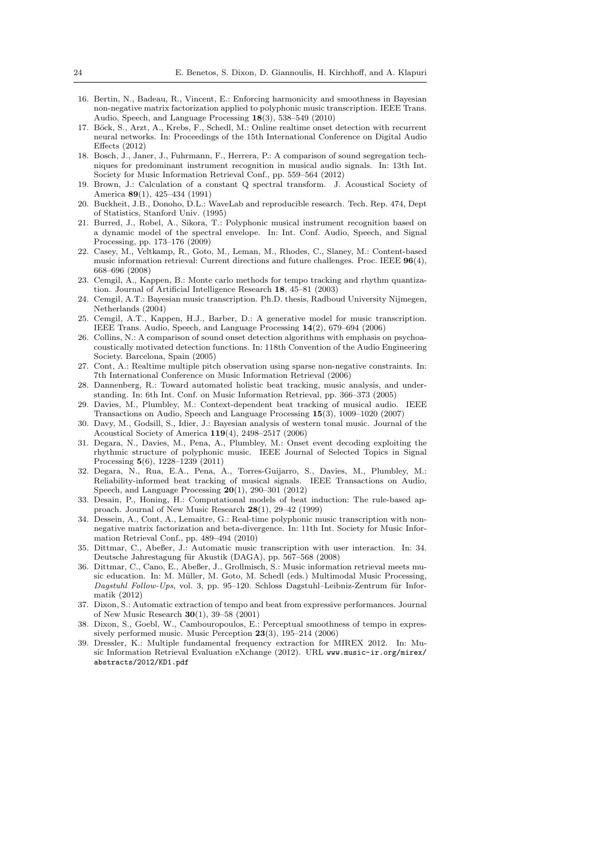- 16. Bertin, N., Badeau, R., Vincent, E.: Enforcing harmonicity and smoothness in Bayesian non-negative matrix factorization applied to polyphonic music transcription. IEEE Trans. Audio, Speech, and Language Processing 18(3), 538–549 (2010)
- 17. Böck, S., Arzt, A., Krebs, F., Schedl, M.: Online realtime onset detection with recurrent neural networks. In: Proceedings of the 15th International Conference on Digital Audio Effects (2012)
- 18. Bosch, J., Janer, J., Fuhrmann, F., Herrera, P.: A comparison of sound segregation techniques for predominant instrument recognition in musical audio signals. In: 13th Int. Society for Music Information Retrieval Conf., pp. 559–564 (2012)
- 19. Brown, J.: Calculation of a constant Q spectral transform. J. Acoustical Society of America 89(1), 425–434 (1991)
- 20. Buckheit, J.B., Donoho, D.L.: WaveLab and reproducible research. Tech. Rep. 474, Dept of Statistics, Stanford Univ. (1995)
- 21. Burred, J., Robel, A., Sikora, T.: Polyphonic musical instrument recognition based on a dynamic model of the spectral envelope. In: Int. Conf. Audio, Speech, and Signal Processing, pp. 173–176 (2009)
- 22. Casey, M., Veltkamp, R., Goto, M., Leman, M., Rhodes, C., Slaney, M.: Content-based music information retrieval: Current directions and future challenges. Proc. IEEE  $96(4)$ , 668–696 (2008)
- 23. Cemgil, A., Kappen, B.: Monte carlo methods for tempo tracking and rhythm quantization. Journal of Artificial Intelligence Research 18, 45–81 (2003)
- 24. Cemgil, A.T.: Bayesian music transcription. Ph.D. thesis, Radboud University Nijmegen, Netherlands (2004)
- 25. Cemgil, A.T., Kappen, H.J., Barber, D.: A generative model for music transcription. IEEE Trans. Audio, Speech, and Language Processing 14(2), 679–694 (2006)
- 26. Collins, N.: A comparison of sound onset detection algorithms with emphasis on psychoacoustically motivated detection functions. In: 118th Convention of the Audio Engineering Society. Barcelona, Spain (2005)
- 27. Cont, A.: Realtime multiple pitch observation using sparse non-negative constraints. In: 7th International Conference on Music Information Retrieval (2006)
- 28. Dannenberg, R.: Toward automated holistic beat tracking, music analysis, and understanding. In: 6th Int. Conf. on Music Information Retrieval, pp. 366–373 (2005)
- 29. Davies, M., Plumbley, M.: Context-dependent beat tracking of musical audio. IEEE Transactions on Audio, Speech and Language Processing 15(3), 1009–1020 (2007)
- 30. Davy, M., Godsill, S., Idier, J.: Bayesian analysis of western tonal music. Journal of the Acoustical Society of America 119(4), 2498–2517 (2006)
- 31. Degara, N., Davies, M., Pena, A., Plumbley, M.: Onset event decoding exploiting the rhythmic structure of polyphonic music. IEEE Journal of Selected Topics in Signal Processing 5(6), 1228–1239 (2011)
- 32. Degara, N., Rua, E.A., Pena, A., Torres-Guijarro, S., Davies, M., Plumbley, M.: Reliability-informed beat tracking of musical signals. IEEE Transactions on Audio, Speech, and Language Processing  $20(1)$ , 290-301 (2012)
- 33. Desain, P., Honing, H.: Computational models of beat induction: The rule-based approach. Journal of New Music Research 28(1), 29–42 (1999)
- 34. Dessein, A., Cont, A., Lemaitre, G.: Real-time polyphonic music transcription with nonnegative matrix factorization and beta-divergence. In: 11th Int. Society for Music Information Retrieval Conf., pp. 489–494 (2010)
- 35. Dittmar, C., Abeßer, J.: Automatic music transcription with user interaction. In: 34. Deutsche Jahrestagung für Akustik (DAGA), pp. 567–568 (2008)
- 36. Dittmar, C., Cano, E., Abeßer, J., Grollmisch, S.: Music information retrieval meets music education. In: M. Müller, M. Goto, M. Schedl (eds.) Multimodal Music Processing, Dagstuhl Follow-Ups, vol. 3, pp. 95–120. Schloss Dagstuhl–Leibniz-Zentrum für Informatik (2012)
- 37. Dixon, S.: Automatic extraction of tempo and beat from expressive performances. Journal of New Music Research 30(1), 39–58 (2001)
- 38. Dixon, S., Goebl, W., Cambouropoulos, E.: Perceptual smoothness of tempo in expressively performed music. Music Perception 23(3), 195–214 (2006)
- 39. Dressler, K.: Multiple fundamental frequency extraction for MIREX 2012. In: Music Information Retrieval Evaluation eXchange (2012). URL www.music-ir.org/mirex/ abstracts/2012/KD1.pdf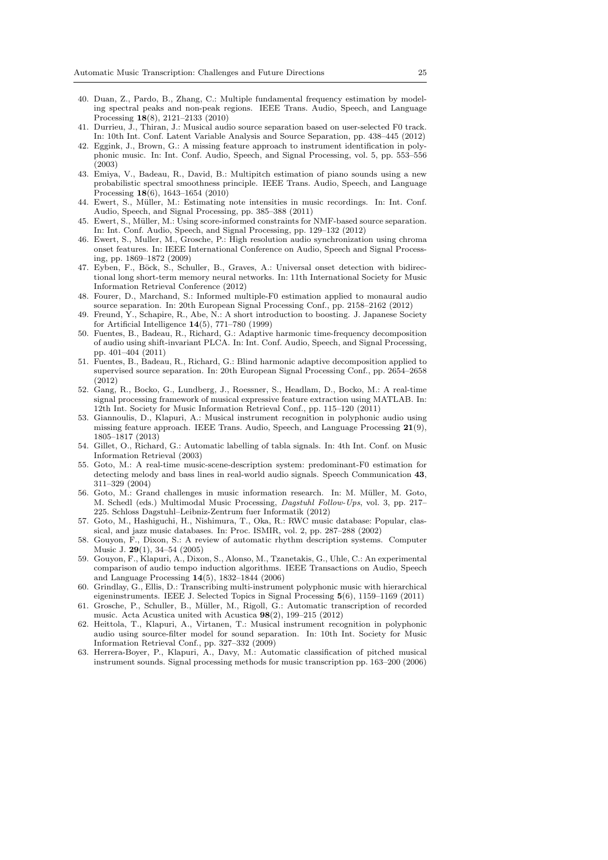- 40. Duan, Z., Pardo, B., Zhang, C.: Multiple fundamental frequency estimation by modeling spectral peaks and non-peak regions. IEEE Trans. Audio, Speech, and Language Processing 18(8), 2121–2133 (2010)
- 41. Durrieu, J., Thiran, J.: Musical audio source separation based on user-selected F0 track. In: 10th Int. Conf. Latent Variable Analysis and Source Separation, pp. 438–445 (2012)
- 42. Eggink, J., Brown, G.: A missing feature approach to instrument identification in polyphonic music. In: Int. Conf. Audio, Speech, and Signal Processing, vol. 5, pp. 553–556 (2003)
- 43. Emiya, V., Badeau, R., David, B.: Multipitch estimation of piano sounds using a new probabilistic spectral smoothness principle. IEEE Trans. Audio, Speech, and Language Processing 18(6), 1643–1654 (2010)
- 44. Ewert, S., Müller, M.: Estimating note intensities in music recordings. In: Int. Conf. Audio, Speech, and Signal Processing, pp. 385–388 (2011)
- 45. Ewert, S., Müller, M.: Using score-informed constraints for NMF-based source separation. In: Int. Conf. Audio, Speech, and Signal Processing, pp. 129–132 (2012)
- 46. Ewert, S., Muller, M., Grosche, P.: High resolution audio synchronization using chroma onset features. In: IEEE International Conference on Audio, Speech and Signal Processing, pp. 1869–1872 (2009)
- 47. Eyben, F., Böck, S., Schuller, B., Graves, A.: Universal onset detection with bidirectional long short-term memory neural networks. In: 11th International Society for Music Information Retrieval Conference (2012)
- 48. Fourer, D., Marchand, S.: Informed multiple-F0 estimation applied to monaural audio source separation. In: 20th European Signal Processing Conf., pp. 2158–2162 (2012)
- 49. Freund, Y., Schapire, R., Abe, N.: A short introduction to boosting. J. Japanese Society for Artificial Intelligence 14(5), 771–780 (1999)
- 50. Fuentes, B., Badeau, R., Richard, G.: Adaptive harmonic time-frequency decomposition of audio using shift-invariant PLCA. In: Int. Conf. Audio, Speech, and Signal Processing, pp. 401–404 (2011)
- 51. Fuentes, B., Badeau, R., Richard, G.: Blind harmonic adaptive decomposition applied to supervised source separation. In: 20th European Signal Processing Conf., pp. 2654–2658 (2012)
- 52. Gang, R., Bocko, G., Lundberg, J., Roessner, S., Headlam, D., Bocko, M.: A real-time signal processing framework of musical expressive feature extraction using MATLAB. In: 12th Int. Society for Music Information Retrieval Conf., pp. 115–120 (2011)
- 53. Giannoulis, D., Klapuri, A.: Musical instrument recognition in polyphonic audio using missing feature approach. IEEE Trans. Audio, Speech, and Language Processing 21(9), 1805–1817 (2013)
- 54. Gillet, O., Richard, G.: Automatic labelling of tabla signals. In: 4th Int. Conf. on Music Information Retrieval (2003)
- 55. Goto, M.: A real-time music-scene-description system: predominant-F0 estimation for detecting melody and bass lines in real-world audio signals. Speech Communication 43, 311–329 (2004)
- 56. Goto, M.: Grand challenges in music information research. In: M. M¨uller, M. Goto, M. Schedl (eds.) Multimodal Music Processing, Dagstuhl Follow-Ups, vol. 3, pp. 217– 225. Schloss Dagstuhl–Leibniz-Zentrum fuer Informatik (2012)
- 57. Goto, M., Hashiguchi, H., Nishimura, T., Oka, R.: RWC music database: Popular, classical, and jazz music databases. In: Proc. ISMIR, vol. 2, pp. 287–288 (2002)
- 58. Gouyon, F., Dixon, S.: A review of automatic rhythm description systems. Computer Music J. 29(1), 34–54 (2005)
- 59. Gouyon, F., Klapuri, A., Dixon, S., Alonso, M., Tzanetakis, G., Uhle, C.: An experimental comparison of audio tempo induction algorithms. IEEE Transactions on Audio, Speech and Language Processing 14(5), 1832–1844 (2006)
- 60. Grindlay, G., Ellis, D.: Transcribing multi-instrument polyphonic music with hierarchical eigeninstruments. IEEE J. Selected Topics in Signal Processing 5(6), 1159–1169 (2011)
- 61. Grosche, P., Schuller, B., Müller, M., Rigoll, G.: Automatic transcription of recorded music. Acta Acustica united with Acustica 98(2), 199–215 (2012)
- 62. Heittola, T., Klapuri, A., Virtanen, T.: Musical instrument recognition in polyphonic audio using source-filter model for sound separation. In: 10th Int. Society for Music Information Retrieval Conf., pp. 327–332 (2009)
- 63. Herrera-Boyer, P., Klapuri, A., Davy, M.: Automatic classification of pitched musical instrument sounds. Signal processing methods for music transcription pp. 163–200 (2006)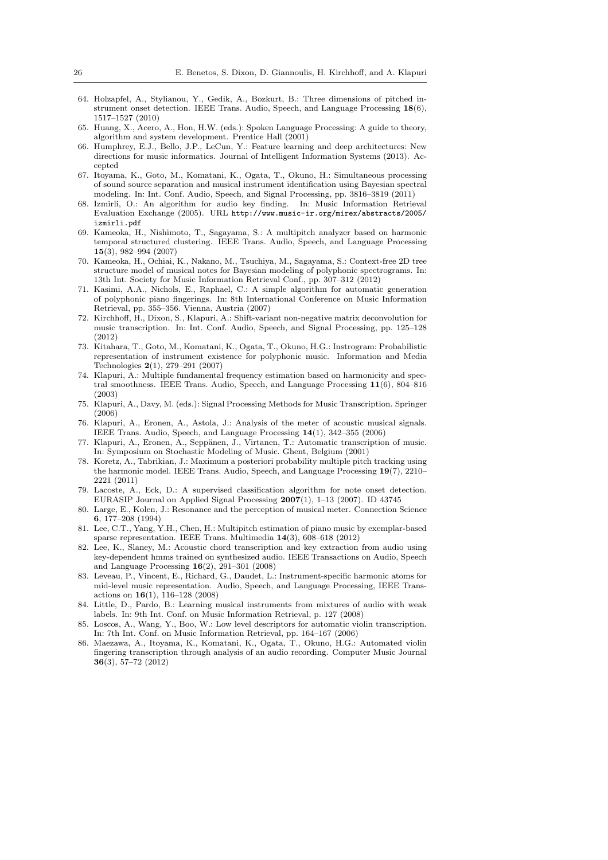- 64. Holzapfel, A., Stylianou, Y., Gedik, A., Bozkurt, B.: Three dimensions of pitched instrument onset detection. IEEE Trans. Audio, Speech, and Language Processing 18(6), 1517–1527 (2010)
- 65. Huang, X., Acero, A., Hon, H.W. (eds.): Spoken Language Processing: A guide to theory, algorithm and system development. Prentice Hall (2001)
- 66. Humphrey, E.J., Bello, J.P., LeCun, Y.: Feature learning and deep architectures: New directions for music informatics. Journal of Intelligent Information Systems (2013). Accepted
- 67. Itoyama, K., Goto, M., Komatani, K., Ogata, T., Okuno, H.: Simultaneous processing of sound source separation and musical instrument identification using Bayesian spectral modeling. In: Int. Conf. Audio, Speech, and Signal Processing, pp. 3816–3819 (2011)
- 68. Izmirli, O.: An algorithm for audio key finding. In: Music Information Retrieval Evaluation Exchange (2005). URL http://www.music-ir.org/mirex/abstracts/2005/ izmirli.pdf
- 69. Kameoka, H., Nishimoto, T., Sagayama, S.: A multipitch analyzer based on harmonic temporal structured clustering. IEEE Trans. Audio, Speech, and Language Processing 15(3), 982–994 (2007)
- 70. Kameoka, H., Ochiai, K., Nakano, M., Tsuchiya, M., Sagayama, S.: Context-free 2D tree structure model of musical notes for Bayesian modeling of polyphonic spectrograms. In: 13th Int. Society for Music Information Retrieval Conf., pp. 307–312 (2012)
- 71. Kasimi, A.A., Nichols, E., Raphael, C.: A simple algorithm for automatic generation of polyphonic piano fingerings. In: 8th International Conference on Music Information Retrieval, pp. 355–356. Vienna, Austria (2007)
- 72. Kirchhoff, H., Dixon, S., Klapuri, A.: Shift-variant non-negative matrix deconvolution for music transcription. In: Int. Conf. Audio, Speech, and Signal Processing, pp. 125–128 (2012)
- 73. Kitahara, T., Goto, M., Komatani, K., Ogata, T., Okuno, H.G.: Instrogram: Probabilistic representation of instrument existence for polyphonic music. Information and Media Technologies 2(1), 279–291 (2007)
- 74. Klapuri, A.: Multiple fundamental frequency estimation based on harmonicity and spectral smoothness. IEEE Trans. Audio, Speech, and Language Processing 11(6), 804–816 (2003)
- 75. Klapuri, A., Davy, M. (eds.): Signal Processing Methods for Music Transcription. Springer (2006)
- 76. Klapuri, A., Eronen, A., Astola, J.: Analysis of the meter of acoustic musical signals. IEEE Trans. Audio, Speech, and Language Processing 14(1), 342–355 (2006)
- 77. Klapuri, A., Eronen, A., Seppänen, J., Virtanen, T.: Automatic transcription of music. In: Symposium on Stochastic Modeling of Music. Ghent, Belgium (2001)
- 78. Koretz, A., Tabrikian, J.: Maximum a posteriori probability multiple pitch tracking using the harmonic model. IEEE Trans. Audio, Speech, and Language Processing 19(7), 2210– 2221 (2011)
- 79. Lacoste, A., Eck, D.: A supervised classification algorithm for note onset detection. EURASIP Journal on Applied Signal Processing 2007(1), 1–13 (2007). ID 43745
- 80. Large, E., Kolen, J.: Resonance and the perception of musical meter. Connection Science 6, 177–208 (1994)
- 81. Lee, C.T., Yang, Y.H., Chen, H.: Multipitch estimation of piano music by exemplar-based sparse representation. IEEE Trans. Multimedia 14(3), 608–618 (2012)
- 82. Lee, K., Slaney, M.: Acoustic chord transcription and key extraction from audio using key-dependent hmms trained on synthesized audio. IEEE Transactions on Audio, Speech and Language Processing 16(2), 291–301 (2008)
- 83. Leveau, P., Vincent, E., Richard, G., Daudet, L.: Instrument-specific harmonic atoms for mid-level music representation. Audio, Speech, and Language Processing, IEEE Transactions on 16(1), 116–128 (2008)
- 84. Little, D., Pardo, B.: Learning musical instruments from mixtures of audio with weak labels. In: 9th Int. Conf. on Music Information Retrieval, p. 127 (2008)
- 85. Loscos, A., Wang, Y., Boo, W.: Low level descriptors for automatic violin transcription. In: 7th Int. Conf. on Music Information Retrieval, pp. 164–167 (2006)
- 86. Maezawa, A., Itoyama, K., Komatani, K., Ogata, T., Okuno, H.G.: Automated violin fingering transcription through analysis of an audio recording. Computer Music Journal 36(3), 57–72 (2012)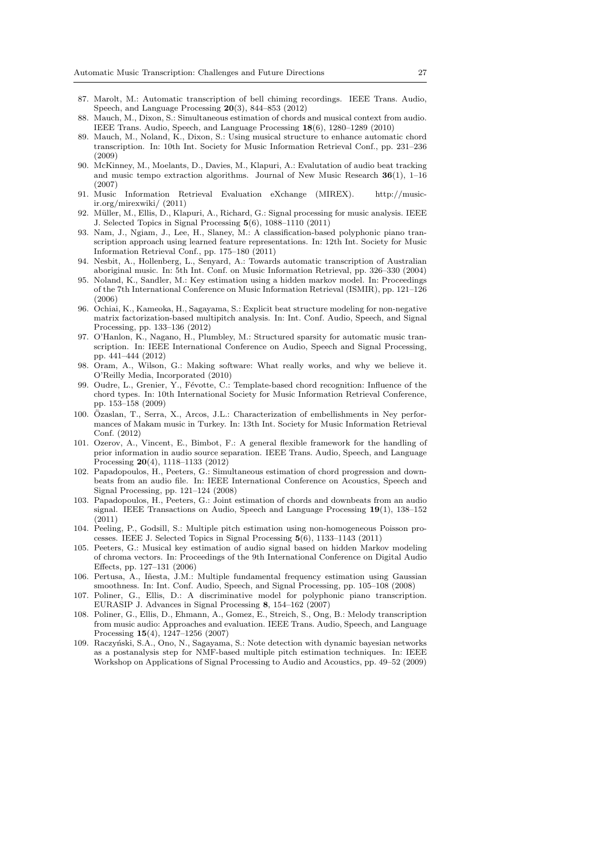- 87. Marolt, M.: Automatic transcription of bell chiming recordings. IEEE Trans. Audio, Speech, and Language Processing  $20(3)$ , 844–853 (2012)
- 88. Mauch, M., Dixon, S.: Simultaneous estimation of chords and musical context from audio. IEEE Trans. Audio, Speech, and Language Processing 18(6), 1280–1289 (2010)
- 89. Mauch, M., Noland, K., Dixon, S.: Using musical structure to enhance automatic chord transcription. In: 10th Int. Society for Music Information Retrieval Conf., pp. 231–236  $(2009)$
- 90. McKinney, M., Moelants, D., Davies, M., Klapuri, A.: Evalutation of audio beat tracking and music tempo extraction algorithms. Journal of New Music Research  $36(1)$ ,  $1-16$ (2007)
- 91. Music Information Retrieval Evaluation eXchange (MIREX). http://musicir.org/mirexwiki/ (2011)
- 92. M¨uller, M., Ellis, D., Klapuri, A., Richard, G.: Signal processing for music analysis. IEEE J. Selected Topics in Signal Processing 5(6), 1088–1110 (2011)
- 93. Nam, J., Ngiam, J., Lee, H., Slaney, M.: A classification-based polyphonic piano transcription approach using learned feature representations. In: 12th Int. Society for Music Information Retrieval Conf., pp. 175–180 (2011)
- 94. Nesbit, A., Hollenberg, L., Senyard, A.: Towards automatic transcription of Australian aboriginal music. In: 5th Int. Conf. on Music Information Retrieval, pp. 326–330 (2004)
- 95. Noland, K., Sandler, M.: Key estimation using a hidden markov model. In: Proceedings of the 7th International Conference on Music Information Retrieval (ISMIR), pp. 121–126 (2006)
- 96. Ochiai, K., Kameoka, H., Sagayama, S.: Explicit beat structure modeling for non-negative matrix factorization-based multipitch analysis. In: Int. Conf. Audio, Speech, and Signal Processing, pp. 133–136 (2012)
- 97. O'Hanlon, K., Nagano, H., Plumbley, M.: Structured sparsity for automatic music transcription. In: IEEE International Conference on Audio, Speech and Signal Processing, pp. 441–444 (2012)
- 98. Oram, A., Wilson, G.: Making software: What really works, and why we believe it. O'Reilly Media, Incorporated (2010)
- 99. Oudre, L., Grenier, Y., Févotte, C.: Template-based chord recognition: Influence of the chord types. In: 10th International Society for Music Information Retrieval Conference, pp. 153–158 (2009)
- 100. Özaslan, T., Serra, X., Arcos, J.L.: Characterization of embellishments in Ney performances of Makam music in Turkey. In: 13th Int. Society for Music Information Retrieval Conf. (2012)
- 101. Ozerov, A., Vincent, E., Bimbot, F.: A general flexible framework for the handling of prior information in audio source separation. IEEE Trans. Audio, Speech, and Language Processing 20(4), 1118–1133 (2012)
- 102. Papadopoulos, H., Peeters, G.: Simultaneous estimation of chord progression and downbeats from an audio file. In: IEEE International Conference on Acoustics, Speech and Signal Processing, pp. 121–124 (2008)
- 103. Papadopoulos, H., Peeters, G.: Joint estimation of chords and downbeats from an audio signal. IEEE Transactions on Audio, Speech and Language Processing 19(1), 138–152 (2011)
- 104. Peeling, P., Godsill, S.: Multiple pitch estimation using non-homogeneous Poisson processes. IEEE J. Selected Topics in Signal Processing 5(6), 1133–1143 (2011)
- 105. Peeters, G.: Musical key estimation of audio signal based on hidden Markov modeling of chroma vectors. In: Proceedings of the 9th International Conference on Digital Audio Effects, pp. 127–131 (2006)
- 106. Pertusa, A., Iñesta, J.M.: Multiple fundamental frequency estimation using Gaussian smoothness. In: Int. Conf. Audio, Speech, and Signal Processing, pp. 105–108 (2008)
- 107. Poliner, G., Ellis, D.: A discriminative model for polyphonic piano transcription. EURASIP J. Advances in Signal Processing 8, 154–162 (2007)
- 108. Poliner, G., Ellis, D., Ehmann, A., Gomez, E., Streich, S., Ong, B.: Melody transcription from music audio: Approaches and evaluation. IEEE Trans. Audio, Speech, and Language Processing 15(4), 1247–1256 (2007)
- 109. Raczyński, S.A., Ono, N., Sagayama, S.: Note detection with dynamic bayesian networks as a postanalysis step for NMF-based multiple pitch estimation techniques. In: IEEE Workshop on Applications of Signal Processing to Audio and Acoustics, pp. 49–52 (2009)